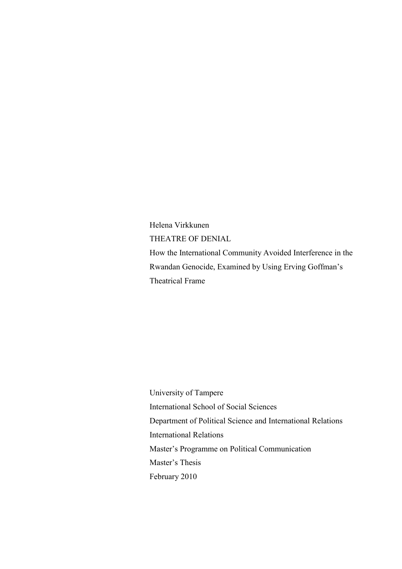Helena Virkkunen THEATRE OF DENIAL How the International Community Avoided Interference in the Rwandan Genocide, Examined by Using Erving Goffman's Theatrical Frame

University of Tampere International School of Social Sciences Department of Political Science and International Relations International Relations Master's Programme on Political Communication Master's Thesis February 2010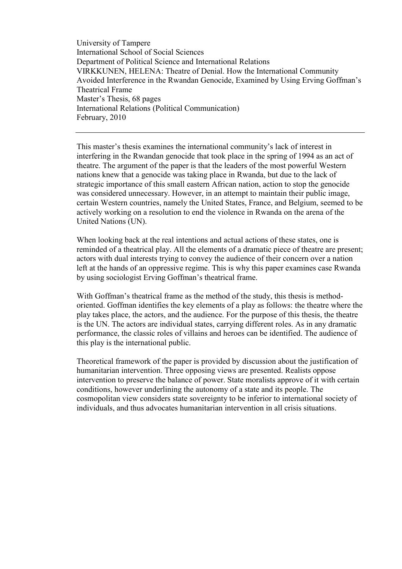University of Tampere International School of Social Sciences Department of Political Science and International Relations VIRKKUNEN, HELENA: Theatre of Denial. How the International Community Avoided Interference in the Rwandan Genocide, Examined by Using Erving Goffman's Theatrical Frame Master's Thesis, 68 pages International Relations (Political Communication) February, 2010

This master's thesis examines the international community's lack of interest in interfering in the Rwandan genocide that took place in the spring of 1994 as an act of theatre. The argument of the paper is that the leaders of the most powerful Western nations knew that a genocide was taking place in Rwanda, but due to the lack of strategic importance of this small eastern African nation, action to stop the genocide was considered unnecessary. However, in an attempt to maintain their public image, certain Western countries, namely the United States, France, and Belgium, seemed to be actively working on a resolution to end the violence in Rwanda on the arena of the United Nations (UN).

When looking back at the real intentions and actual actions of these states, one is reminded of a theatrical play. All the elements of a dramatic piece of theatre are present; actors with dual interests trying to convey the audience of their concern over a nation left at the hands of an oppressive regime. This is why this paper examines case Rwanda by using sociologist Erving Goffman's theatrical frame.

With Goffman's theatrical frame as the method of the study, this thesis is methodoriented. Goffman identifies the key elements of a play as follows: the theatre where the play takes place, the actors, and the audience. For the purpose of this thesis, the theatre is the UN. The actors are individual states, carrying different roles. As in any dramatic performance, the classic roles of villains and heroes can be identified. The audience of this play is the international public.

Theoretical framework of the paper is provided by discussion about the justification of humanitarian intervention. Three opposing views are presented. Realists oppose intervention to preserve the balance of power. State moralists approve of it with certain conditions, however underlining the autonomy of a state and its people. The cosmopolitan view considers state sovereignty to be inferior to international society of individuals, and thus advocates humanitarian intervention in all crisis situations.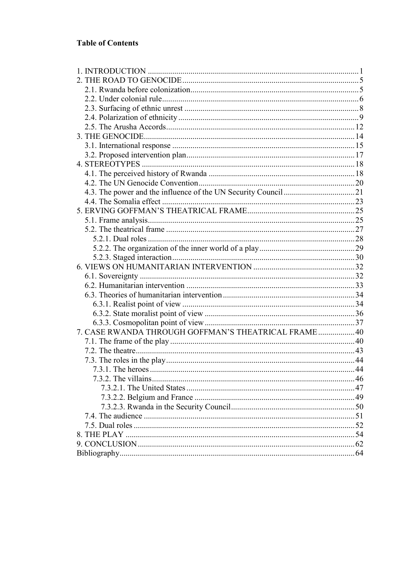### **Table of Contents**

| 7. CASE RWANDA THROUGH GOFFMAN'S THEATRICAL FRAME 40 |  |
|------------------------------------------------------|--|
|                                                      |  |
|                                                      |  |
|                                                      |  |
|                                                      |  |
|                                                      |  |
|                                                      |  |
|                                                      |  |
|                                                      |  |
|                                                      |  |
|                                                      |  |
|                                                      |  |
|                                                      |  |
|                                                      |  |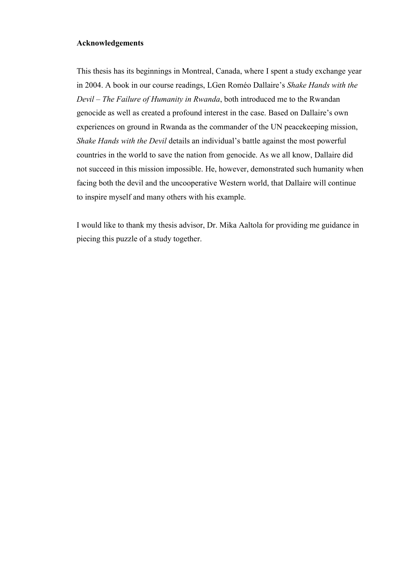#### **Acknowledgements**

This thesis has its beginnings in Montreal, Canada, where I spent a study exchange year in 2004. A book in our course readings, LGen Roméo Dallaire's *Shake Hands with the Devil – The Failure of Humanity in Rwanda*, both introduced me to the Rwandan genocide as well as created a profound interest in the case. Based on Dallaire's own experiences on ground in Rwanda as the commander of the UN peacekeeping mission, *Shake Hands with the Devil* details an individual's battle against the most powerful countries in the world to save the nation from genocide. As we all know, Dallaire did not succeed in this mission impossible. He, however, demonstrated such humanity when facing both the devil and the uncooperative Western world, that Dallaire will continue to inspire myself and many others with his example.

I would like to thank my thesis advisor, Dr. Mika Aaltola for providing me guidance in piecing this puzzle of a study together.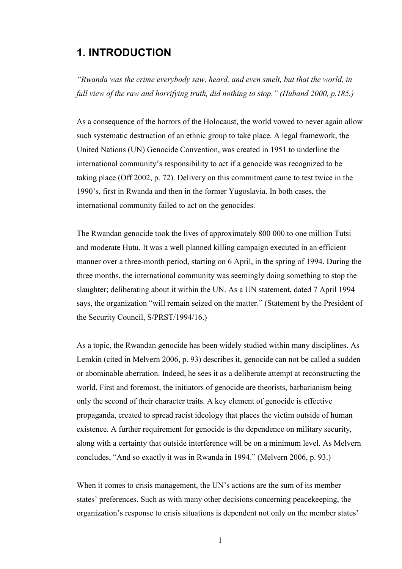# **1. INTRODUCTION**

*"Rwanda was the crime everybody saw, heard, and even smelt, but that the world, in full view of the raw and horrifying truth, did nothing to stop." (Huband 2000, p.185.)*

As a consequence of the horrors of the Holocaust, the world vowed to never again allow such systematic destruction of an ethnic group to take place. A legal framework, the United Nations (UN) Genocide Convention, was created in 1951 to underline the international community's responsibility to act if a genocide was recognized to be taking place (Off 2002, p. 72). Delivery on this commitment came to test twice in the 1990's, first in Rwanda and then in the former Yugoslavia. In both cases, the international community failed to act on the genocides.

The Rwandan genocide took the lives of approximately 800 000 to one million Tutsi and moderate Hutu. It was a well planned killing campaign executed in an efficient manner over a three-month period, starting on 6 April, in the spring of 1994. During the three months, the international community was seemingly doing something to stop the slaughter; deliberating about it within the UN. As a UN statement, dated 7 April 1994 says, the organization "will remain seized on the matter." (Statement by the President of the Security Council, S/PRST/1994/16.)

As a topic, the Rwandan genocide has been widely studied within many disciplines. As Lemkin (cited in Melvern 2006, p. 93) describes it, genocide can not be called a sudden or abominable aberration. Indeed, he sees it as a deliberate attempt at reconstructing the world. First and foremost, the initiators of genocide are theorists, barbarianism being only the second of their character traits. A key element of genocide is effective propaganda, created to spread racist ideology that places the victim outside of human existence. A further requirement for genocide is the dependence on military security, along with a certainty that outside interference will be on a minimum level. As Melvern concludes, "And so exactly it was in Rwanda in 1994." (Melvern 2006, p. 93.)

When it comes to crisis management, the UN's actions are the sum of its member states' preferences. Such as with many other decisions concerning peacekeeping, the organization's response to crisis situations is dependent not only on the member states'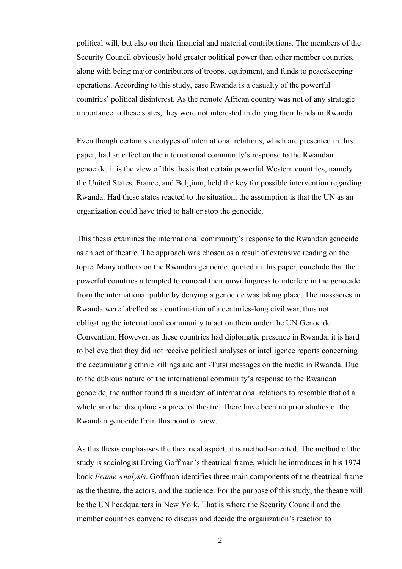political will, but also on their financial and material contributions. The members of the Security Council obviously hold greater political power than other member countries, along with being major contributors of troops, equipment, and funds to peacekeeping operations. According to this study, case Rwanda is a casualty of the powerful countries' political disinterest. As the remote African country was not of any strategic importance to these states, they were not interested in dirtying their hands in Rwanda.

Even though certain stereotypes of international relations, which are presented in this paper, had an effect on the international community's response to the Rwandan genocide, it is the view of this thesis that certain powerful Western countries, namely the United States, France, and Belgium, held the key for possible intervention regarding Rwanda. Had these states reacted to the situation, the assumption is that the UN as an organization could have tried to halt or stop the genocide.

This thesis examines the international community's response to the Rwandan genocide as an act of theatre. The approach was chosen as a result of extensive reading on the topic. Many authors on the Rwandan genocide, quoted in this paper, conclude that the powerful countries attempted to conceal their unwillingness to interfere in the genocide from the international public by denying a genocide was taking place. The massacres in Rwanda were labelled as a continuation of a centuries-long civil war, thus not obligating the international community to act on them under the UN Genocide Convention. However, as these countries had diplomatic presence in Rwanda, it is hard to believe that they did not receive political analyses or intelligence reports concerning the accumulating ethnic killings and anti-Tutsi messages on the media in Rwanda. Due to the dubious nature of the international community's response to the Rwandan genocide, the author found this incident of international relations to resemble that of a whole another discipline - a piece of theatre. There have been no prior studies of the Rwandan genocide from this point of view.

As this thesis emphasises the theatrical aspect, it is method-oriented. The method of the study is sociologist Erving Goffman's theatrical frame, which he introduces in his 1974 book *Frame Analysis*. Goffman identifies three main components of the theatrical frame as the theatre, the actors, and the audience. For the purpose of this study, the theatre will be the UN headquarters in New York. That is where the Security Council and the member countries convene to discuss and decide the organization's reaction to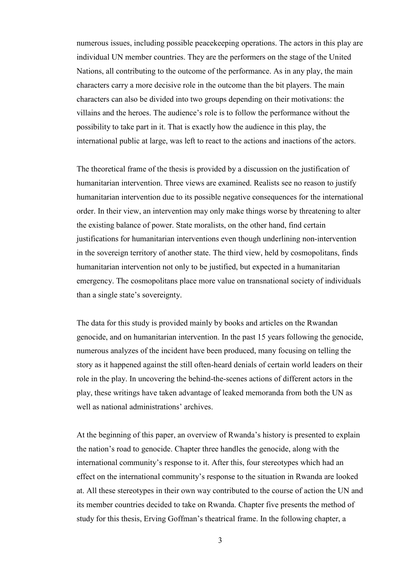numerous issues, including possible peacekeeping operations. The actors in this play are individual UN member countries. They are the performers on the stage of the United Nations, all contributing to the outcome of the performance. As in any play, the main characters carry a more decisive role in the outcome than the bit players. The main characters can also be divided into two groups depending on their motivations: the villains and the heroes. The audience's role is to follow the performance without the possibility to take part in it. That is exactly how the audience in this play, the international public at large, was left to react to the actions and inactions of the actors.

The theoretical frame of the thesis is provided by a discussion on the justification of humanitarian intervention. Three views are examined. Realists see no reason to justify humanitarian intervention due to its possible negative consequences for the international order. In their view, an intervention may only make things worse by threatening to alter the existing balance of power. State moralists, on the other hand, find certain justifications for humanitarian interventions even though underlining non-intervention in the sovereign territory of another state. The third view, held by cosmopolitans, finds humanitarian intervention not only to be justified, but expected in a humanitarian emergency. The cosmopolitans place more value on transnational society of individuals than a single state's sovereignty.

The data for this study is provided mainly by books and articles on the Rwandan genocide, and on humanitarian intervention. In the past 15 years following the genocide, numerous analyzes of the incident have been produced, many focusing on telling the story as it happened against the still often-heard denials of certain world leaders on their role in the play. In uncovering the behind-the-scenes actions of different actors in the play, these writings have taken advantage of leaked memoranda from both the UN as well as national administrations' archives.

At the beginning of this paper, an overview of Rwanda's history is presented to explain the nation's road to genocide. Chapter three handles the genocide, along with the international community's response to it. After this, four stereotypes which had an effect on the international community's response to the situation in Rwanda are looked at. All these stereotypes in their own way contributed to the course of action the UN and its member countries decided to take on Rwanda. Chapter five presents the method of study for this thesis, Erving Goffman's theatrical frame. In the following chapter, a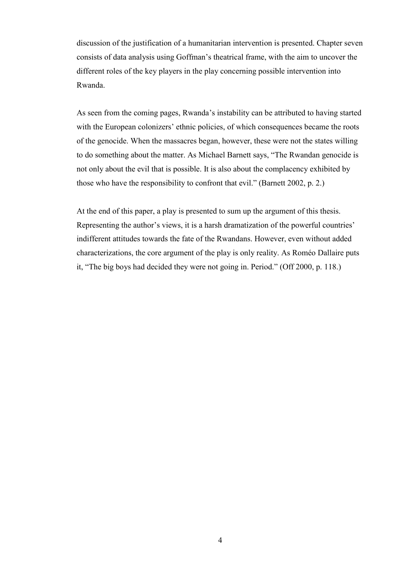discussion of the justification of a humanitarian intervention is presented. Chapter seven consists of data analysis using Goffman's theatrical frame, with the aim to uncover the different roles of the key players in the play concerning possible intervention into Rwanda.

As seen from the coming pages, Rwanda's instability can be attributed to having started with the European colonizers' ethnic policies, of which consequences became the roots of the genocide. When the massacres began, however, these were not the states willing to do something about the matter. As Michael Barnett says, "The Rwandan genocide is not only about the evil that is possible. It is also about the complacency exhibited by those who have the responsibility to confront that evil." (Barnett 2002, p. 2.)

At the end of this paper, a play is presented to sum up the argument of this thesis. Representing the author's views, it is a harsh dramatization of the powerful countries' indifferent attitudes towards the fate of the Rwandans. However, even without added characterizations, the core argument of the play is only reality. As Roméo Dallaire puts it, "The big boys had decided they were not going in. Period." (Off 2000, p. 118.)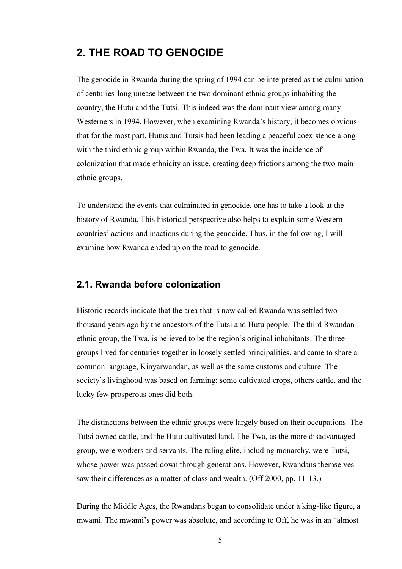# **2. THE ROAD TO GENOCIDE**

The genocide in Rwanda during the spring of 1994 can be interpreted as the culmination of centuries-long unease between the two dominant ethnic groups inhabiting the country, the Hutu and the Tutsi. This indeed was the dominant view among many Westerners in 1994. However, when examining Rwanda's history, it becomes obvious that for the most part, Hutus and Tutsis had been leading a peaceful coexistence along with the third ethnic group within Rwanda, the Twa. It was the incidence of colonization that made ethnicity an issue, creating deep frictions among the two main ethnic groups.

To understand the events that culminated in genocide, one has to take a look at the history of Rwanda. This historical perspective also helps to explain some Western countries' actions and inactions during the genocide. Thus, in the following, I will examine how Rwanda ended up on the road to genocide.

# **2.1. Rwanda before colonization**

Historic records indicate that the area that is now called Rwanda was settled two thousand years ago by the ancestors of the Tutsi and Hutu people. The third Rwandan ethnic group, the Twa, is believed to be the region's original inhabitants. The three groups lived for centuries together in loosely settled principalities, and came to share a common language, Kinyarwandan, as well as the same customs and culture. The society's livinghood was based on farming; some cultivated crops, others cattle, and the lucky few prosperous ones did both.

The distinctions between the ethnic groups were largely based on their occupations. The Tutsi owned cattle, and the Hutu cultivated land. The Twa, as the more disadvantaged group, were workers and servants. The ruling elite, including monarchy, were Tutsi, whose power was passed down through generations. However, Rwandans themselves saw their differences as a matter of class and wealth. (Off 2000, pp. 11-13.)

During the Middle Ages, the Rwandans began to consolidate under a king-like figure, a mwami. The mwami's power was absolute, and according to Off, he was in an "almost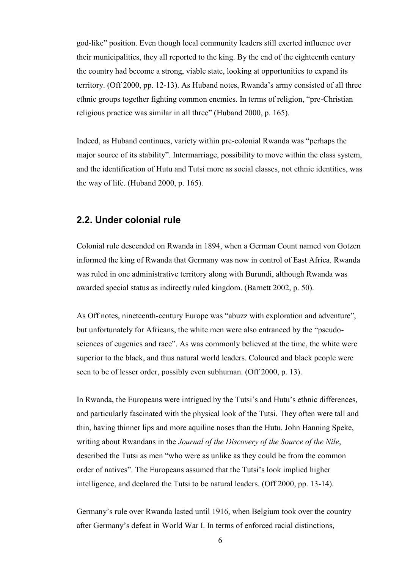god-like" position. Even though local community leaders still exerted influence over their municipalities, they all reported to the king. By the end of the eighteenth century the country had become a strong, viable state, looking at opportunities to expand its territory. (Off 2000, pp. 12-13). As Huband notes, Rwanda's army consisted of all three ethnic groups together fighting common enemies. In terms of religion, "pre-Christian religious practice was similar in all three" (Huband 2000, p. 165).

Indeed, as Huband continues, variety within pre-colonial Rwanda was "perhaps the major source of its stability". Intermarriage, possibility to move within the class system, and the identification of Hutu and Tutsi more as social classes, not ethnic identities, was the way of life. (Huband 2000, p. 165).

# **2.2. Under colonial rule**

Colonial rule descended on Rwanda in 1894, when a German Count named von Gotzen informed the king of Rwanda that Germany was now in control of East Africa. Rwanda was ruled in one administrative territory along with Burundi, although Rwanda was awarded special status as indirectly ruled kingdom. (Barnett 2002, p. 50).

As Off notes, nineteenth-century Europe was "abuzz with exploration and adventure", but unfortunately for Africans, the white men were also entranced by the "pseudosciences of eugenics and race". As was commonly believed at the time, the white were superior to the black, and thus natural world leaders. Coloured and black people were seen to be of lesser order, possibly even subhuman. (Off 2000, p. 13).

In Rwanda, the Europeans were intrigued by the Tutsi's and Hutu's ethnic differences, and particularly fascinated with the physical look of the Tutsi. They often were tall and thin, having thinner lips and more aquiline noses than the Hutu. John Hanning Speke, writing about Rwandans in the *Journal of the Discovery of the Source of the Nile*, described the Tutsi as men "who were as unlike as they could be from the common order of natives". The Europeans assumed that the Tutsi's look implied higher intelligence, and declared the Tutsi to be natural leaders. (Off 2000, pp. 13-14).

Germany's rule over Rwanda lasted until 1916, when Belgium took over the country after Germany's defeat in World War I. In terms of enforced racial distinctions,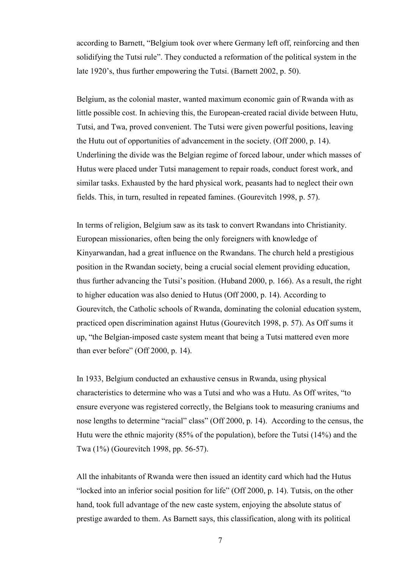according to Barnett, "Belgium took over where Germany left off, reinforcing and then solidifying the Tutsi rule". They conducted a reformation of the political system in the late 1920's, thus further empowering the Tutsi. (Barnett 2002, p. 50).

Belgium, as the colonial master, wanted maximum economic gain of Rwanda with as little possible cost. In achieving this, the European-created racial divide between Hutu, Tutsi, and Twa, proved convenient. The Tutsi were given powerful positions, leaving the Hutu out of opportunities of advancement in the society. (Off 2000, p. 14). Underlining the divide was the Belgian regime of forced labour, under which masses of Hutus were placed under Tutsi management to repair roads, conduct forest work, and similar tasks. Exhausted by the hard physical work, peasants had to neglect their own fields. This, in turn, resulted in repeated famines. (Gourevitch 1998, p. 57).

In terms of religion, Belgium saw as its task to convert Rwandans into Christianity. European missionaries, often being the only foreigners with knowledge of Kinyarwandan, had a great influence on the Rwandans. The church held a prestigious position in the Rwandan society, being a crucial social element providing education, thus further advancing the Tutsi's position. (Huband 2000, p. 166). As a result, the right to higher education was also denied to Hutus (Off 2000, p. 14). According to Gourevitch, the Catholic schools of Rwanda, dominating the colonial education system, practiced open discrimination against Hutus (Gourevitch 1998, p. 57). As Off sums it up, "the Belgian-imposed caste system meant that being a Tutsi mattered even more than ever before" (Off 2000, p. 14).

In 1933, Belgium conducted an exhaustive census in Rwanda, using physical characteristics to determine who was a Tutsi and who was a Hutu. As Off writes, "to ensure everyone was registered correctly, the Belgians took to measuring craniums and nose lengths to determine "racial" class" (Off 2000, p. 14). According to the census, the Hutu were the ethnic majority (85% of the population), before the Tutsi (14%) and the Twa (1%) (Gourevitch 1998, pp. 56-57).

All the inhabitants of Rwanda were then issued an identity card which had the Hutus "locked into an inferior social position for life" (Off 2000, p. 14). Tutsis, on the other hand, took full advantage of the new caste system, enjoying the absolute status of prestige awarded to them. As Barnett says, this classification, along with its political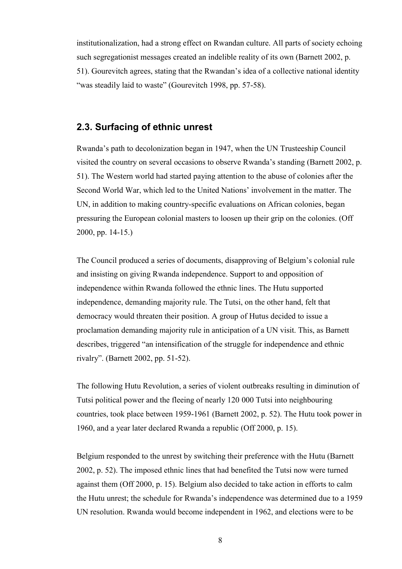institutionalization, had a strong effect on Rwandan culture. All parts of society echoing such segregationist messages created an indelible reality of its own (Barnett 2002, p. 51). Gourevitch agrees, stating that the Rwandan's idea of a collective national identity "was steadily laid to waste" (Gourevitch 1998, pp. 57-58).

### **2.3. Surfacing of ethnic unrest**

Rwanda's path to decolonization began in 1947, when the UN Trusteeship Council visited the country on several occasions to observe Rwanda's standing (Barnett 2002, p. 51). The Western world had started paying attention to the abuse of colonies after the Second World War, which led to the United Nations' involvement in the matter. The UN, in addition to making country-specific evaluations on African colonies, began pressuring the European colonial masters to loosen up their grip on the colonies. (Off 2000, pp. 14-15.)

The Council produced a series of documents, disapproving of Belgium's colonial rule and insisting on giving Rwanda independence. Support to and opposition of independence within Rwanda followed the ethnic lines. The Hutu supported independence, demanding majority rule. The Tutsi, on the other hand, felt that democracy would threaten their position. A group of Hutus decided to issue a proclamation demanding majority rule in anticipation of a UN visit. This, as Barnett describes, triggered "an intensification of the struggle for independence and ethnic rivalry". (Barnett 2002, pp. 51-52).

The following Hutu Revolution, a series of violent outbreaks resulting in diminution of Tutsi political power and the fleeing of nearly 120 000 Tutsi into neighbouring countries, took place between 1959-1961 (Barnett 2002, p. 52). The Hutu took power in 1960, and a year later declared Rwanda a republic (Off 2000, p. 15).

Belgium responded to the unrest by switching their preference with the Hutu (Barnett 2002, p. 52). The imposed ethnic lines that had benefited the Tutsi now were turned against them (Off 2000, p. 15). Belgium also decided to take action in efforts to calm the Hutu unrest; the schedule for Rwanda's independence was determined due to a 1959 UN resolution. Rwanda would become independent in 1962, and elections were to be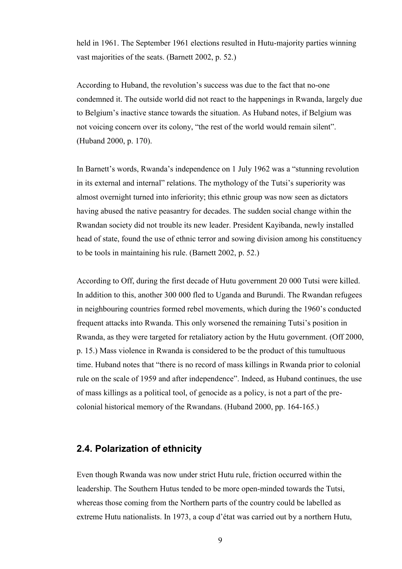held in 1961. The September 1961 elections resulted in Hutu-majority parties winning vast majorities of the seats. (Barnett 2002, p. 52.)

According to Huband, the revolution's success was due to the fact that no-one condemned it. The outside world did not react to the happenings in Rwanda, largely due to Belgium's inactive stance towards the situation. As Huband notes, if Belgium was not voicing concern over its colony, "the rest of the world would remain silent". (Huband 2000, p. 170).

In Barnett's words, Rwanda's independence on 1 July 1962 was a "stunning revolution in its external and internal" relations. The mythology of the Tutsi's superiority was almost overnight turned into inferiority; this ethnic group was now seen as dictators having abused the native peasantry for decades. The sudden social change within the Rwandan society did not trouble its new leader. President Kayibanda, newly installed head of state, found the use of ethnic terror and sowing division among his constituency to be tools in maintaining his rule. (Barnett 2002, p. 52.)

According to Off, during the first decade of Hutu government 20 000 Tutsi were killed. In addition to this, another 300 000 fled to Uganda and Burundi. The Rwandan refugees in neighbouring countries formed rebel movements, which during the 1960's conducted frequent attacks into Rwanda. This only worsened the remaining Tutsi's position in Rwanda, as they were targeted for retaliatory action by the Hutu government. (Off 2000, p. 15.) Mass violence in Rwanda is considered to be the product of this tumultuous time. Huband notes that "there is no record of mass killings in Rwanda prior to colonial rule on the scale of 1959 and after independence". Indeed, as Huband continues, the use of mass killings as a political tool, of genocide as a policy, is not a part of the precolonial historical memory of the Rwandans. (Huband 2000, pp. 164-165.)

# **2.4. Polarization of ethnicity**

Even though Rwanda was now under strict Hutu rule, friction occurred within the leadership. The Southern Hutus tended to be more open-minded towards the Tutsi, whereas those coming from the Northern parts of the country could be labelled as extreme Hutu nationalists. In 1973, a coup d'état was carried out by a northern Hutu,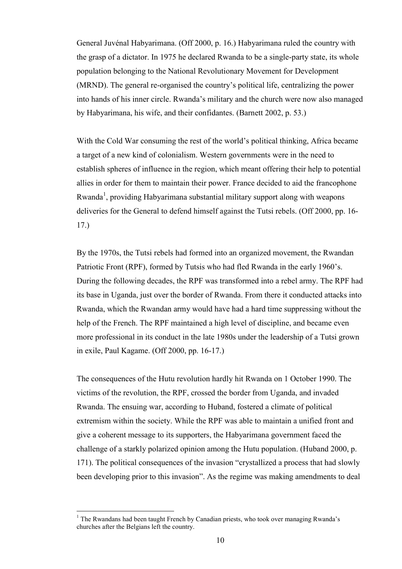General Juvénal Habyarimana. (Off 2000, p. 16.) Habyarimana ruled the country with the grasp of a dictator. In 1975 he declared Rwanda to be a single-party state, its whole population belonging to the National Revolutionary Movement for Development (MRND). The general re-organised the country's political life, centralizing the power into hands of his inner circle. Rwanda's military and the church were now also managed by Habyarimana, his wife, and their confidantes. (Barnett 2002, p. 53.)

With the Cold War consuming the rest of the world's political thinking, Africa became a target of a new kind of colonialism. Western governments were in the need to establish spheres of influence in the region, which meant offering their help to potential allies in order for them to maintain their power. France decided to aid the francophone Rwanda<sup>1</sup>, providing Habyarimana substantial military support along with weapons deliveries for the General to defend himself against the Tutsi rebels. (Off 2000, pp. 16- 17.)

By the 1970s, the Tutsi rebels had formed into an organized movement, the Rwandan Patriotic Front (RPF), formed by Tutsis who had fled Rwanda in the early 1960's. During the following decades, the RPF was transformed into a rebel army. The RPF had its base in Uganda, just over the border of Rwanda. From there it conducted attacks into Rwanda, which the Rwandan army would have had a hard time suppressing without the help of the French. The RPF maintained a high level of discipline, and became even more professional in its conduct in the late 1980s under the leadership of a Tutsi grown in exile, Paul Kagame. (Off 2000, pp. 16-17.)

The consequences of the Hutu revolution hardly hit Rwanda on 1 October 1990. The victims of the revolution, the RPF, crossed the border from Uganda, and invaded Rwanda. The ensuing war, according to Huband, fostered a climate of political extremism within the society. While the RPF was able to maintain a unified front and give a coherent message to its supporters, the Habyarimana government faced the challenge of a starkly polarized opinion among the Hutu population. (Huband 2000, p. 171). The political consequences of the invasion "crystallized a process that had slowly been developing prior to this invasion". As the regime was making amendments to deal

 $\overline{a}$ 

<sup>&</sup>lt;sup>1</sup> The Rwandans had been taught French by Canadian priests, who took over managing Rwanda's churches after the Belgians left the country.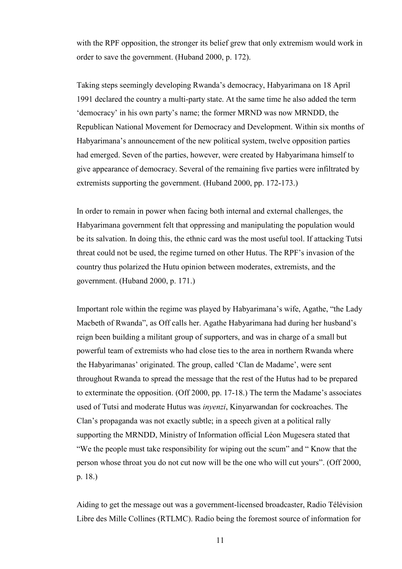with the RPF opposition, the stronger its belief grew that only extremism would work in order to save the government. (Huband 2000, p. 172).

Taking steps seemingly developing Rwanda's democracy, Habyarimana on 18 April 1991 declared the country a multi-party state. At the same time he also added the term 'democracy' in his own party's name; the former MRND was now MRNDD, the Republican National Movement for Democracy and Development. Within six months of Habyarimana's announcement of the new political system, twelve opposition parties had emerged. Seven of the parties, however, were created by Habyarimana himself to give appearance of democracy. Several of the remaining five parties were infiltrated by extremists supporting the government. (Huband 2000, pp. 172-173.)

In order to remain in power when facing both internal and external challenges, the Habyarimana government felt that oppressing and manipulating the population would be its salvation. In doing this, the ethnic card was the most useful tool. If attacking Tutsi threat could not be used, the regime turned on other Hutus. The RPF's invasion of the country thus polarized the Hutu opinion between moderates, extremists, and the government. (Huband 2000, p. 171.)

Important role within the regime was played by Habyarimana's wife, Agathe, "the Lady Macbeth of Rwanda", as Off calls her. Agathe Habyarimana had during her husband's reign been building a militant group of supporters, and was in charge of a small but powerful team of extremists who had close ties to the area in northern Rwanda where the Habyarimanas' originated. The group, called 'Clan de Madame', were sent throughout Rwanda to spread the message that the rest of the Hutus had to be prepared to exterminate the opposition. (Off 2000, pp. 17-18.) The term the Madame's associates used of Tutsi and moderate Hutus was *inyenzi*, Kinyarwandan for cockroaches. The Clan's propaganda was not exactly subtle; in a speech given at a political rally supporting the MRNDD, Ministry of Information official Léon Mugesera stated that "We the people must take responsibility for wiping out the scum" and " Know that the person whose throat you do not cut now will be the one who will cut yours". (Off 2000, p. 18.)

Aiding to get the message out was a government-licensed broadcaster, Radio Télévision Libre des Mille Collines (RTLMC). Radio being the foremost source of information for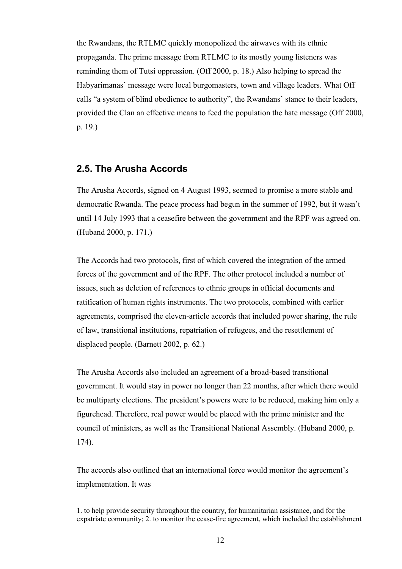the Rwandans, the RTLMC quickly monopolized the airwaves with its ethnic propaganda. The prime message from RTLMC to its mostly young listeners was reminding them of Tutsi oppression. (Off 2000, p. 18.) Also helping to spread the Habyarimanas' message were local burgomasters, town and village leaders. What Off calls "a system of blind obedience to authority", the Rwandans' stance to their leaders, provided the Clan an effective means to feed the population the hate message (Off 2000, p. 19.)

#### **2.5. The Arusha Accords**

The Arusha Accords, signed on 4 August 1993, seemed to promise a more stable and democratic Rwanda. The peace process had begun in the summer of 1992, but it wasn't until 14 July 1993 that a ceasefire between the government and the RPF was agreed on. (Huband 2000, p. 171.)

The Accords had two protocols, first of which covered the integration of the armed forces of the government and of the RPF. The other protocol included a number of issues, such as deletion of references to ethnic groups in official documents and ratification of human rights instruments. The two protocols, combined with earlier agreements, comprised the eleven-article accords that included power sharing, the rule of law, transitional institutions, repatriation of refugees, and the resettlement of displaced people. (Barnett 2002, p. 62.)

The Arusha Accords also included an agreement of a broad-based transitional government. It would stay in power no longer than 22 months, after which there would be multiparty elections. The president's powers were to be reduced, making him only a figurehead. Therefore, real power would be placed with the prime minister and the council of ministers, as well as the Transitional National Assembly. (Huband 2000, p. 174).

The accords also outlined that an international force would monitor the agreement's implementation. It was

1. to help provide security throughout the country, for humanitarian assistance, and for the expatriate community; 2. to monitor the cease-fire agreement, which included the establishment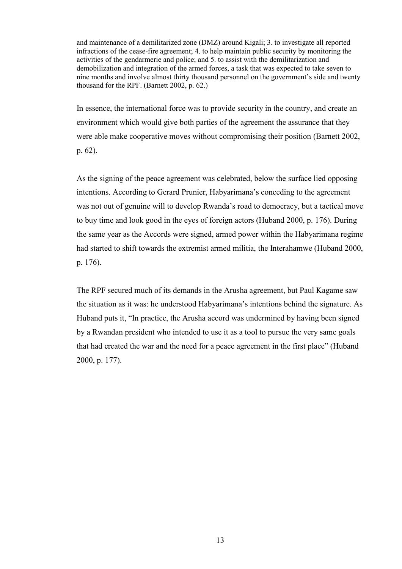and maintenance of a demilitarized zone (DMZ) around Kigali; 3. to investigate all reported infractions of the cease-fire agreement; 4. to help maintain public security by monitoring the activities of the gendarmerie and police; and 5. to assist with the demilitarization and demobilization and integration of the armed forces, a task that was expected to take seven to nine months and involve almost thirty thousand personnel on the government's side and twenty thousand for the RPF. (Barnett 2002, p. 62.)

In essence, the international force was to provide security in the country, and create an environment which would give both parties of the agreement the assurance that they were able make cooperative moves without compromising their position (Barnett 2002, p. 62).

As the signing of the peace agreement was celebrated, below the surface lied opposing intentions. According to Gerard Prunier, Habyarimana's conceding to the agreement was not out of genuine will to develop Rwanda's road to democracy, but a tactical move to buy time and look good in the eyes of foreign actors (Huband 2000, p. 176). During the same year as the Accords were signed, armed power within the Habyarimana regime had started to shift towards the extremist armed militia, the Interahamwe (Huband 2000, p. 176).

The RPF secured much of its demands in the Arusha agreement, but Paul Kagame saw the situation as it was: he understood Habyarimana's intentions behind the signature. As Huband puts it, "In practice, the Arusha accord was undermined by having been signed by a Rwandan president who intended to use it as a tool to pursue the very same goals that had created the war and the need for a peace agreement in the first place" (Huband 2000, p. 177).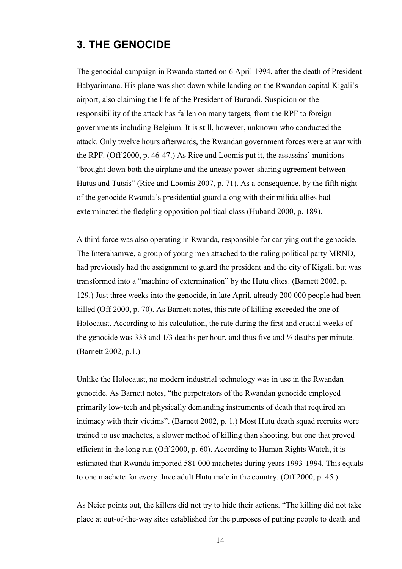# **3. THE GENOCIDE**

The genocidal campaign in Rwanda started on 6 April 1994, after the death of President Habyarimana. His plane was shot down while landing on the Rwandan capital Kigali's airport, also claiming the life of the President of Burundi. Suspicion on the responsibility of the attack has fallen on many targets, from the RPF to foreign governments including Belgium. It is still, however, unknown who conducted the attack. Only twelve hours afterwards, the Rwandan government forces were at war with the RPF. (Off 2000, p. 46-47.) As Rice and Loomis put it, the assassins' munitions "brought down both the airplane and the uneasy power-sharing agreement between Hutus and Tutsis" (Rice and Loomis 2007, p. 71). As a consequence, by the fifth night of the genocide Rwanda's presidential guard along with their militia allies had exterminated the fledgling opposition political class (Huband 2000, p. 189).

A third force was also operating in Rwanda, responsible for carrying out the genocide. The Interahamwe, a group of young men attached to the ruling political party MRND, had previously had the assignment to guard the president and the city of Kigali, but was transformed into a "machine of extermination" by the Hutu elites. (Barnett 2002, p. 129.) Just three weeks into the genocide, in late April, already 200 000 people had been killed (Off 2000, p. 70). As Barnett notes, this rate of killing exceeded the one of Holocaust. According to his calculation, the rate during the first and crucial weeks of the genocide was 333 and 1/3 deaths per hour, and thus five and ½ deaths per minute. (Barnett 2002, p.1.)

Unlike the Holocaust, no modern industrial technology was in use in the Rwandan genocide. As Barnett notes, "the perpetrators of the Rwandan genocide employed primarily low-tech and physically demanding instruments of death that required an intimacy with their victims". (Barnett 2002, p. 1.) Most Hutu death squad recruits were trained to use machetes, a slower method of killing than shooting, but one that proved efficient in the long run (Off 2000, p. 60). According to Human Rights Watch, it is estimated that Rwanda imported 581 000 machetes during years 1993-1994. This equals to one machete for every three adult Hutu male in the country. (Off 2000, p. 45.)

As Neier points out, the killers did not try to hide their actions. "The killing did not take place at out-of-the-way sites established for the purposes of putting people to death and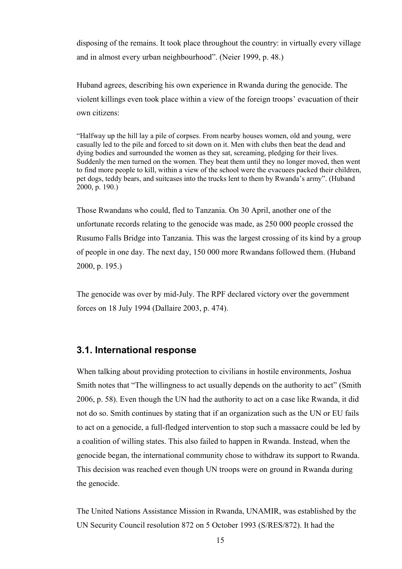disposing of the remains. It took place throughout the country: in virtually every village and in almost every urban neighbourhood". (Neier 1999, p. 48.)

Huband agrees, describing his own experience in Rwanda during the genocide. The violent killings even took place within a view of the foreign troops' evacuation of their own citizens:

"Halfway up the hill lay a pile of corpses. From nearby houses women, old and young, were casually led to the pile and forced to sit down on it. Men with clubs then beat the dead and dying bodies and surrounded the women as they sat, screaming, pledging for their lives. Suddenly the men turned on the women. They beat them until they no longer moved, then went to find more people to kill, within a view of the school were the evacuees packed their children, pet dogs, teddy bears, and suitcases into the trucks lent to them by Rwanda's army". (Huband 2000, p. 190.)

Those Rwandans who could, fled to Tanzania. On 30 April, another one of the unfortunate records relating to the genocide was made, as 250 000 people crossed the Rusumo Falls Bridge into Tanzania. This was the largest crossing of its kind by a group of people in one day. The next day, 150 000 more Rwandans followed them. (Huband 2000, p. 195.)

The genocide was over by mid-July. The RPF declared victory over the government forces on 18 July 1994 (Dallaire 2003, p. 474).

### **3.1. International response**

When talking about providing protection to civilians in hostile environments, Joshua Smith notes that "The willingness to act usually depends on the authority to act" (Smith 2006, p. 58). Even though the UN had the authority to act on a case like Rwanda, it did not do so. Smith continues by stating that if an organization such as the UN or EU fails to act on a genocide, a full-fledged intervention to stop such a massacre could be led by a coalition of willing states. This also failed to happen in Rwanda. Instead, when the genocide began, the international community chose to withdraw its support to Rwanda. This decision was reached even though UN troops were on ground in Rwanda during the genocide.

The United Nations Assistance Mission in Rwanda, UNAMIR, was established by the UN Security Council resolution 872 on 5 October 1993 (S/RES/872). It had the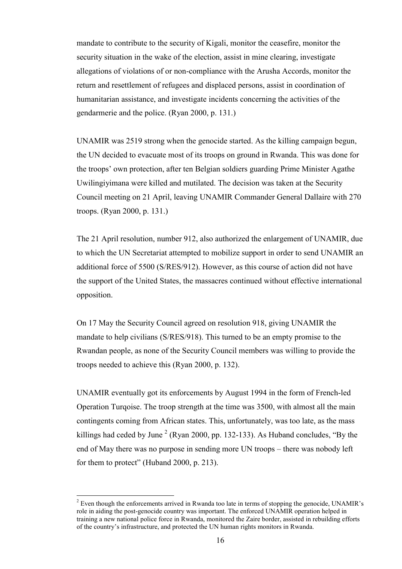mandate to contribute to the security of Kigali, monitor the ceasefire, monitor the security situation in the wake of the election, assist in mine clearing, investigate allegations of violations of or non-compliance with the Arusha Accords, monitor the return and resettlement of refugees and displaced persons, assist in coordination of humanitarian assistance, and investigate incidents concerning the activities of the gendarmerie and the police. (Ryan 2000, p. 131.)

UNAMIR was 2519 strong when the genocide started. As the killing campaign begun, the UN decided to evacuate most of its troops on ground in Rwanda. This was done for the troops' own protection, after ten Belgian soldiers guarding Prime Minister Agathe Uwilingiyimana were killed and mutilated. The decision was taken at the Security Council meeting on 21 April, leaving UNAMIR Commander General Dallaire with 270 troops. (Ryan 2000, p. 131.)

The 21 April resolution, number 912, also authorized the enlargement of UNAMIR, due to which the UN Secretariat attempted to mobilize support in order to send UNAMIR an additional force of 5500 (S/RES/912). However, as this course of action did not have the support of the United States, the massacres continued without effective international opposition.

On 17 May the Security Council agreed on resolution 918, giving UNAMIR the mandate to help civilians (S/RES/918). This turned to be an empty promise to the Rwandan people, as none of the Security Council members was willing to provide the troops needed to achieve this (Ryan 2000, p. 132).

UNAMIR eventually got its enforcements by August 1994 in the form of French-led Operation Turqoise. The troop strength at the time was 3500, with almost all the main contingents coming from African states. This, unfortunately, was too late, as the mass killings had ceded by June<sup>2</sup> (Ryan 2000, pp. 132-133). As Huband concludes, "By the end of May there was no purpose in sending more UN troops – there was nobody left for them to protect" (Huband 2000, p. 213).

 $\overline{a}$ 

 $2^{2}$  Even though the enforcements arrived in Rwanda too late in terms of stopping the genocide, UNAMIR's role in aiding the post-genocide country was important. The enforced UNAMIR operation helped in training a new national police force in Rwanda, monitored the Zaire border, assisted in rebuilding efforts of the country's infrastructure, and protected the UN human rights monitors in Rwanda.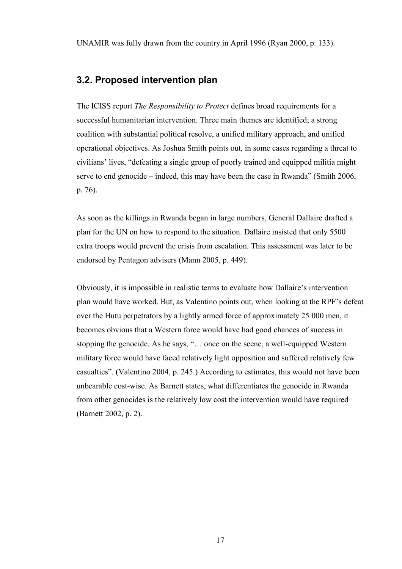# **3.2. Proposed intervention plan**

The ICISS report *The Responsibility to Protect* defines broad requirements for a successful humanitarian intervention. Three main themes are identified; a strong coalition with substantial political resolve, a unified military approach, and unified operational objectives. As Joshua Smith points out, in some cases regarding a threat to civilians' lives, "defeating a single group of poorly trained and equipped militia might serve to end genocide – indeed, this may have been the case in Rwanda" (Smith 2006, p. 76).

As soon as the killings in Rwanda began in large numbers, General Dallaire drafted a plan for the UN on how to respond to the situation. Dallaire insisted that only 5500 extra troops would prevent the crisis from escalation. This assessment was later to be endorsed by Pentagon advisers (Mann 2005, p. 449).

Obviously, it is impossible in realistic terms to evaluate how Dallaire's intervention plan would have worked. But, as Valentino points out, when looking at the RPF's defeat over the Hutu perpetrators by a lightly armed force of approximately 25 000 men, it becomes obvious that a Western force would have had good chances of success in stopping the genocide. As he says, "… once on the scene, a well-equipped Western military force would have faced relatively light opposition and suffered relatively few casualties". (Valentino 2004, p. 245.) According to estimates, this would not have been unbearable cost-wise. As Barnett states, what differentiates the genocide in Rwanda from other genocides is the relatively low cost the intervention would have required (Barnett 2002, p. 2).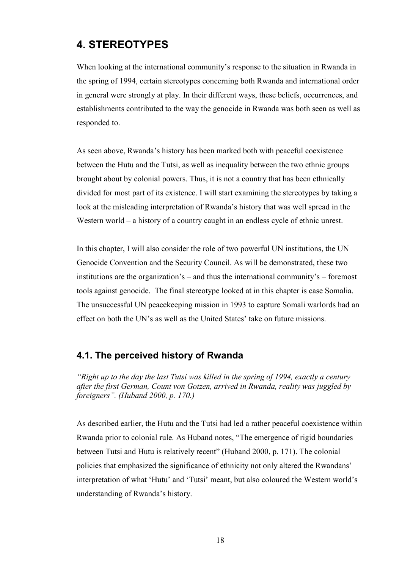# **4. STEREOTYPES**

When looking at the international community's response to the situation in Rwanda in the spring of 1994, certain stereotypes concerning both Rwanda and international order in general were strongly at play. In their different ways, these beliefs, occurrences, and establishments contributed to the way the genocide in Rwanda was both seen as well as responded to.

As seen above, Rwanda's history has been marked both with peaceful coexistence between the Hutu and the Tutsi, as well as inequality between the two ethnic groups brought about by colonial powers. Thus, it is not a country that has been ethnically divided for most part of its existence. I will start examining the stereotypes by taking a look at the misleading interpretation of Rwanda's history that was well spread in the Western world – a history of a country caught in an endless cycle of ethnic unrest.

In this chapter, I will also consider the role of two powerful UN institutions, the UN Genocide Convention and the Security Council. As will be demonstrated, these two institutions are the organization's – and thus the international community's – foremost tools against genocide. The final stereotype looked at in this chapter is case Somalia. The unsuccessful UN peacekeeping mission in 1993 to capture Somali warlords had an effect on both the UN's as well as the United States' take on future missions.

# **4.1. The perceived history of Rwanda**

*"Right up to the day the last Tutsi was killed in the spring of 1994, exactly a century after the first German, Count von Gotzen, arrived in Rwanda, reality was juggled by foreigners". (Huband 2000, p. 170.)*

As described earlier, the Hutu and the Tutsi had led a rather peaceful coexistence within Rwanda prior to colonial rule. As Huband notes, "The emergence of rigid boundaries between Tutsi and Hutu is relatively recent" (Huband 2000, p. 171). The colonial policies that emphasized the significance of ethnicity not only altered the Rwandans' interpretation of what 'Hutu' and 'Tutsi' meant, but also coloured the Western world's understanding of Rwanda's history.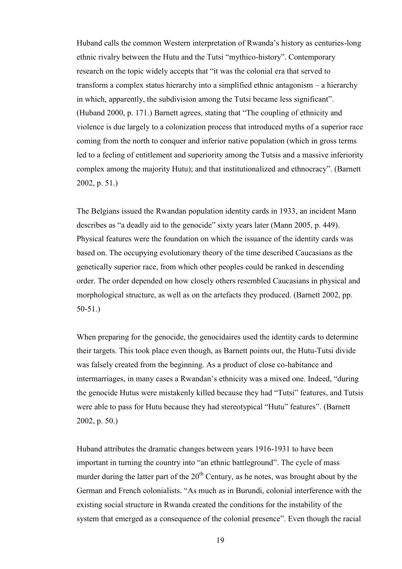Huband calls the common Western interpretation of Rwanda's history as centuries-long ethnic rivalry between the Hutu and the Tutsi "mythico-history". Contemporary research on the topic widely accepts that "it was the colonial era that served to transform a complex status hierarchy into a simplified ethnic antagonism – a hierarchy in which, apparently, the subdivision among the Tutsi became less significant". (Huband 2000, p. 171.) Barnett agrees, stating that "The coupling of ethnicity and violence is due largely to a colonization process that introduced myths of a superior race coming from the north to conquer and inferior native population (which in gross terms led to a feeling of entitlement and superiority among the Tutsis and a massive inferiority complex among the majority Hutu); and that institutionalized and ethnocracy". (Barnett 2002, p. 51.)

The Belgians issued the Rwandan population identity cards in 1933, an incident Mann describes as "a deadly aid to the genocide" sixty years later (Mann 2005, p. 449). Physical features were the foundation on which the issuance of the identity cards was based on. The occupying evolutionary theory of the time described Caucasians as the genetically superior race, from which other peoples could be ranked in descending order. The order depended on how closely others resembled Caucasians in physical and morphological structure, as well as on the artefacts they produced. (Barnett 2002, pp. 50-51.)

When preparing for the genocide, the genocidaires used the identity cards to determine their targets. This took place even though, as Barnett points out, the Hutu-Tutsi divide was falsely created from the beginning. As a product of close co-habitance and intermarriages, in many cases a Rwandan's ethnicity was a mixed one. Indeed, "during the genocide Hutus were mistakenly killed because they had "Tutsi" features, and Tutsis were able to pass for Hutu because they had stereotypical "Hutu" features". (Barnett 2002, p. 50.)

Huband attributes the dramatic changes between years 1916-1931 to have been important in turning the country into "an ethnic battleground". The cycle of mass murder during the latter part of the  $20<sup>th</sup>$  Century, as he notes, was brought about by the German and French colonialists. "As much as in Burundi, colonial interference with the existing social structure in Rwanda created the conditions for the instability of the system that emerged as a consequence of the colonial presence". Even though the racial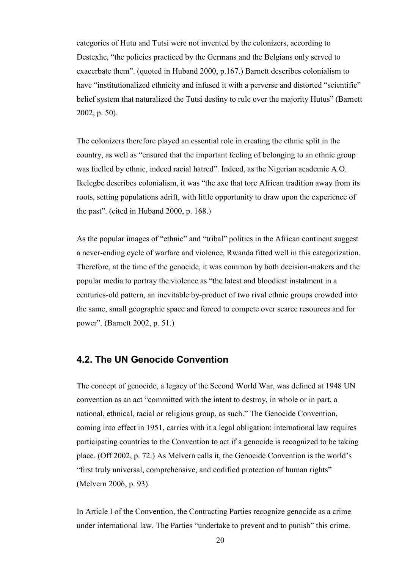categories of Hutu and Tutsi were not invented by the colonizers, according to Destexhe, "the policies practiced by the Germans and the Belgians only served to exacerbate them". (quoted in Huband 2000, p.167.) Barnett describes colonialism to have "institutionalized ethnicity and infused it with a perverse and distorted "scientific" belief system that naturalized the Tutsi destiny to rule over the majority Hutus" (Barnett 2002, p. 50).

The colonizers therefore played an essential role in creating the ethnic split in the country, as well as "ensured that the important feeling of belonging to an ethnic group was fuelled by ethnic, indeed racial hatred". Indeed, as the Nigerian academic A.O. Ikelegbe describes colonialism, it was "the axe that tore African tradition away from its roots, setting populations adrift, with little opportunity to draw upon the experience of the past". (cited in Huband 2000, p. 168.)

As the popular images of "ethnic" and "tribal" politics in the African continent suggest a never-ending cycle of warfare and violence, Rwanda fitted well in this categorization. Therefore, at the time of the genocide, it was common by both decision-makers and the popular media to portray the violence as "the latest and bloodiest instalment in a centuries-old pattern, an inevitable by-product of two rival ethnic groups crowded into the same, small geographic space and forced to compete over scarce resources and for power". (Barnett 2002, p. 51.)

### **4.2. The UN Genocide Convention**

The concept of genocide, a legacy of the Second World War, was defined at 1948 UN convention as an act "committed with the intent to destroy, in whole or in part, a national, ethnical, racial or religious group, as such." The Genocide Convention, coming into effect in 1951, carries with it a legal obligation: international law requires participating countries to the Convention to act if a genocide is recognized to be taking place. (Off 2002, p. 72.) As Melvern calls it, the Genocide Convention is the world's "first truly universal, comprehensive, and codified protection of human rights" (Melvern 2006, p. 93).

In Article I of the Convention, the Contracting Parties recognize genocide as a crime under international law. The Parties "undertake to prevent and to punish" this crime.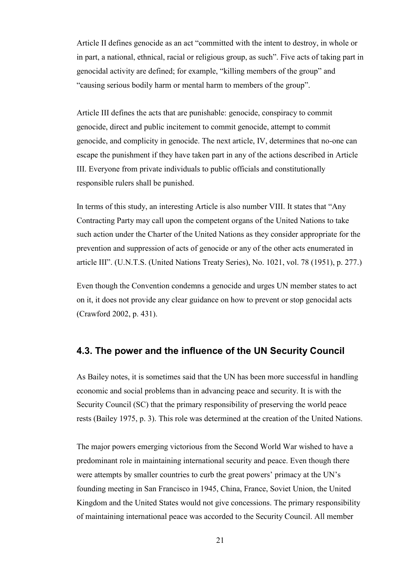Article II defines genocide as an act "committed with the intent to destroy, in whole or in part, a national, ethnical, racial or religious group, as such". Five acts of taking part in genocidal activity are defined; for example, "killing members of the group" and "causing serious bodily harm or mental harm to members of the group".

Article III defines the acts that are punishable: genocide, conspiracy to commit genocide, direct and public incitement to commit genocide, attempt to commit genocide, and complicity in genocide. The next article, IV, determines that no-one can escape the punishment if they have taken part in any of the actions described in Article III. Everyone from private individuals to public officials and constitutionally responsible rulers shall be punished.

In terms of this study, an interesting Article is also number VIII. It states that "Any Contracting Party may call upon the competent organs of the United Nations to take such action under the Charter of the United Nations as they consider appropriate for the prevention and suppression of acts of genocide or any of the other acts enumerated in article III". (U.N.T.S. (United Nations Treaty Series), No. 1021, vol. 78 (1951), p. 277.)

Even though the Convention condemns a genocide and urges UN member states to act on it, it does not provide any clear guidance on how to prevent or stop genocidal acts (Crawford 2002, p. 431).

#### **4.3. The power and the influence of the UN Security Council**

As Bailey notes, it is sometimes said that the UN has been more successful in handling economic and social problems than in advancing peace and security. It is with the Security Council (SC) that the primary responsibility of preserving the world peace rests (Bailey 1975, p. 3). This role was determined at the creation of the United Nations.

The major powers emerging victorious from the Second World War wished to have a predominant role in maintaining international security and peace. Even though there were attempts by smaller countries to curb the great powers' primacy at the UN's founding meeting in San Francisco in 1945, China, France, Soviet Union, the United Kingdom and the United States would not give concessions. The primary responsibility of maintaining international peace was accorded to the Security Council. All member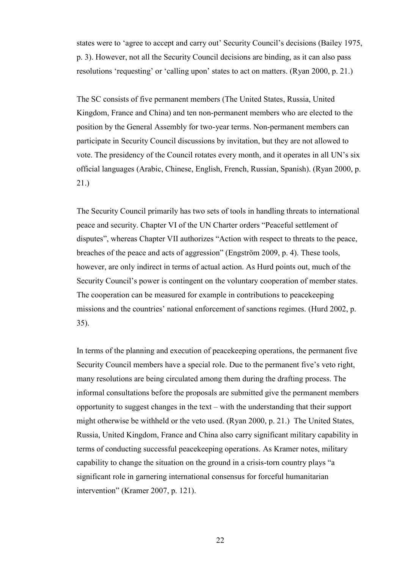states were to 'agree to accept and carry out' Security Council's decisions (Bailey 1975, p. 3). However, not all the Security Council decisions are binding, as it can also pass resolutions 'requesting' or 'calling upon' states to act on matters. (Ryan 2000, p. 21.)

The SC consists of five permanent members (The United States, Russia, United Kingdom, France and China) and ten non-permanent members who are elected to the position by the General Assembly for two-year terms. Non-permanent members can participate in Security Council discussions by invitation, but they are not allowed to vote. The presidency of the Council rotates every month, and it operates in all UN's six official languages (Arabic, Chinese, English, French, Russian, Spanish). (Ryan 2000, p. 21.)

The Security Council primarily has two sets of tools in handling threats to international peace and security. Chapter VI of the UN Charter orders "Peaceful settlement of disputes", whereas Chapter VII authorizes "Action with respect to threats to the peace, breaches of the peace and acts of aggression" (Engström 2009, p. 4). These tools, however, are only indirect in terms of actual action. As Hurd points out, much of the Security Council's power is contingent on the voluntary cooperation of member states. The cooperation can be measured for example in contributions to peacekeeping missions and the countries' national enforcement of sanctions regimes. (Hurd 2002, p. 35).

In terms of the planning and execution of peacekeeping operations, the permanent five Security Council members have a special role. Due to the permanent five's veto right, many resolutions are being circulated among them during the drafting process. The informal consultations before the proposals are submitted give the permanent members opportunity to suggest changes in the text – with the understanding that their support might otherwise be withheld or the veto used. (Ryan 2000, p. 21.) The United States, Russia, United Kingdom, France and China also carry significant military capability in terms of conducting successful peacekeeping operations. As Kramer notes, military capability to change the situation on the ground in a crisis-torn country plays "a significant role in garnering international consensus for forceful humanitarian intervention" (Kramer 2007, p. 121).

<u>22</u>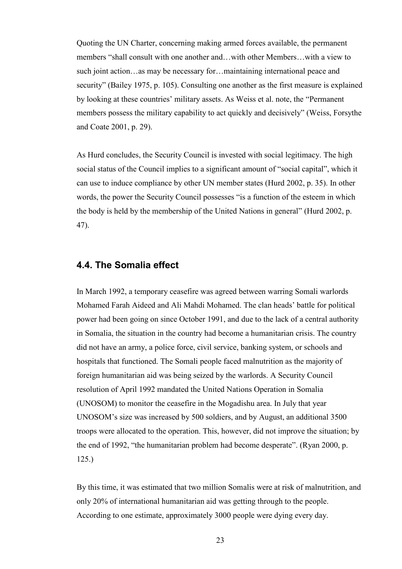Quoting the UN Charter, concerning making armed forces available, the permanent members "shall consult with one another and…with other Members…with a view to such joint action…as may be necessary for…maintaining international peace and security" (Bailey 1975, p. 105). Consulting one another as the first measure is explained by looking at these countries' military assets. As Weiss et al. note, the "Permanent members possess the military capability to act quickly and decisively" (Weiss, Forsythe and Coate 2001, p. 29).

As Hurd concludes, the Security Council is invested with social legitimacy. The high social status of the Council implies to a significant amount of "social capital", which it can use to induce compliance by other UN member states (Hurd 2002, p. 35). In other words, the power the Security Council possesses "is a function of the esteem in which the body is held by the membership of the United Nations in general" (Hurd 2002, p. 47).

### **4.4. The Somalia effect**

In March 1992, a temporary ceasefire was agreed between warring Somali warlords Mohamed Farah Aideed and Ali Mahdi Mohamed. The clan heads' battle for political power had been going on since October 1991, and due to the lack of a central authority in Somalia, the situation in the country had become a humanitarian crisis. The country did not have an army, a police force, civil service, banking system, or schools and hospitals that functioned. The Somali people faced malnutrition as the majority of foreign humanitarian aid was being seized by the warlords. A Security Council resolution of April 1992 mandated the United Nations Operation in Somalia (UNOSOM) to monitor the ceasefire in the Mogadishu area. In July that year UNOSOM's size was increased by 500 soldiers, and by August, an additional 3500 troops were allocated to the operation. This, however, did not improve the situation; by the end of 1992, "the humanitarian problem had become desperate". (Ryan 2000, p. 125.)

By this time, it was estimated that two million Somalis were at risk of malnutrition, and only 20% of international humanitarian aid was getting through to the people. According to one estimate, approximately 3000 people were dying every day.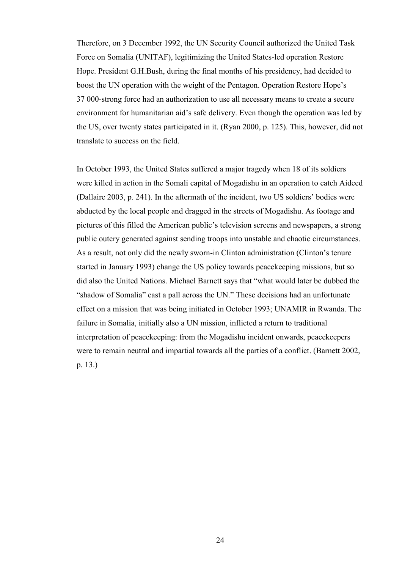Therefore, on 3 December 1992, the UN Security Council authorized the United Task Force on Somalia (UNITAF), legitimizing the United States-led operation Restore Hope. President G.H.Bush, during the final months of his presidency, had decided to boost the UN operation with the weight of the Pentagon. Operation Restore Hope's 37 000-strong force had an authorization to use all necessary means to create a secure environment for humanitarian aid's safe delivery. Even though the operation was led by the US, over twenty states participated in it. (Ryan 2000, p. 125). This, however, did not translate to success on the field.

In October 1993, the United States suffered a major tragedy when 18 of its soldiers were killed in action in the Somali capital of Mogadishu in an operation to catch Aideed (Dallaire 2003, p. 241). In the aftermath of the incident, two US soldiers' bodies were abducted by the local people and dragged in the streets of Mogadishu. As footage and pictures of this filled the American public's television screens and newspapers, a strong public outcry generated against sending troops into unstable and chaotic circumstances. As a result, not only did the newly sworn-in Clinton administration (Clinton's tenure started in January 1993) change the US policy towards peacekeeping missions, but so did also the United Nations. Michael Barnett says that "what would later be dubbed the "shadow of Somalia" cast a pall across the UN." These decisions had an unfortunate effect on a mission that was being initiated in October 1993; UNAMIR in Rwanda. The failure in Somalia, initially also a UN mission, inflicted a return to traditional interpretation of peacekeeping: from the Mogadishu incident onwards, peacekeepers were to remain neutral and impartial towards all the parties of a conflict. (Barnett 2002, p. 13.)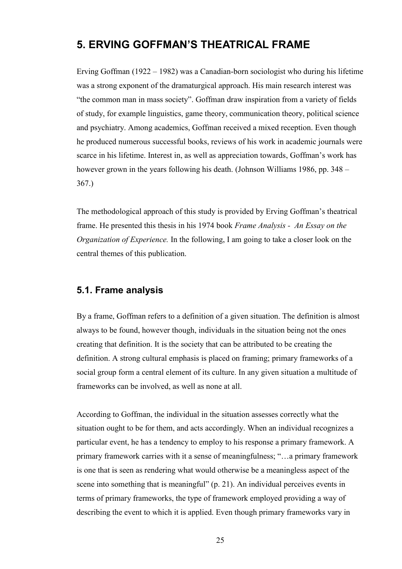# **5. ERVING GOFFMAN'S THEATRICAL FRAME**

Erving Goffman (1922 – 1982) was a Canadian-born sociologist who during his lifetime was a strong exponent of the dramaturgical approach. His main research interest was "the common man in mass society". Goffman draw inspiration from a variety of fields of study, for example linguistics, game theory, communication theory, political science and psychiatry. Among academics, Goffman received a mixed reception. Even though he produced numerous successful books, reviews of his work in academic journals were scarce in his lifetime. Interest in, as well as appreciation towards, Goffman's work has however grown in the years following his death. (Johnson Williams 1986, pp. 348 – 367.)

The methodological approach of this study is provided by Erving Goffman's theatrical frame. He presented this thesis in his 1974 book *Frame Analysis - An Essay on the Organization of Experience.* In the following, I am going to take a closer look on the central themes of this publication.

### **5.1. Frame analysis**

By a frame, Goffman refers to a definition of a given situation. The definition is almost always to be found, however though, individuals in the situation being not the ones creating that definition. It is the society that can be attributed to be creating the definition. A strong cultural emphasis is placed on framing; primary frameworks of a social group form a central element of its culture. In any given situation a multitude of frameworks can be involved, as well as none at all.

According to Goffman, the individual in the situation assesses correctly what the situation ought to be for them, and acts accordingly. When an individual recognizes a particular event, he has a tendency to employ to his response a primary framework. A primary framework carries with it a sense of meaningfulness; "…a primary framework is one that is seen as rendering what would otherwise be a meaningless aspect of the scene into something that is meaningful" (p. 21). An individual perceives events in terms of primary frameworks, the type of framework employed providing a way of describing the event to which it is applied. Even though primary frameworks vary in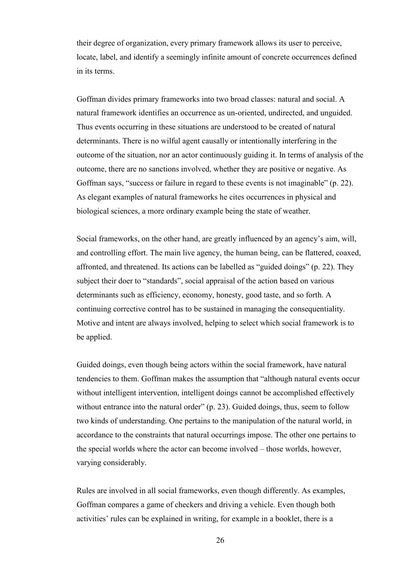their degree of organization, every primary framework allows its user to perceive, locate, label, and identify a seemingly infinite amount of concrete occurrences defined in its terms.

Goffman divides primary frameworks into two broad classes: natural and social. A natural framework identifies an occurrence as un-oriented, undirected, and unguided. Thus events occurring in these situations are understood to be created of natural determinants. There is no wilful agent causally or intentionally interfering in the outcome of the situation, nor an actor continuously guiding it. In terms of analysis of the outcome, there are no sanctions involved, whether they are positive or negative. As Goffman says, "success or failure in regard to these events is not imaginable" (p. 22). As elegant examples of natural frameworks he cites occurrences in physical and biological sciences, a more ordinary example being the state of weather.

Social frameworks, on the other hand, are greatly influenced by an agency's aim, will, and controlling effort. The main live agency, the human being, can be flattered, coaxed, affronted, and threatened. Its actions can be labelled as "guided doings" (p. 22). They subject their doer to "standards", social appraisal of the action based on various determinants such as efficiency, economy, honesty, good taste, and so forth. A continuing corrective control has to be sustained in managing the consequentiality. Motive and intent are always involved, helping to select which social framework is to be applied.

Guided doings, even though being actors within the social framework, have natural tendencies to them. Goffman makes the assumption that "although natural events occur without intelligent intervention, intelligent doings cannot be accomplished effectively without entrance into the natural order" (p. 23). Guided doings, thus, seem to follow two kinds of understanding. One pertains to the manipulation of the natural world, in accordance to the constraints that natural occurrings impose. The other one pertains to the special worlds where the actor can become involved – those worlds, however, varying considerably.

Rules are involved in all social frameworks, even though differently. As examples, Goffman compares a game of checkers and driving a vehicle. Even though both activities' rules can be explained in writing, for example in a booklet, there is a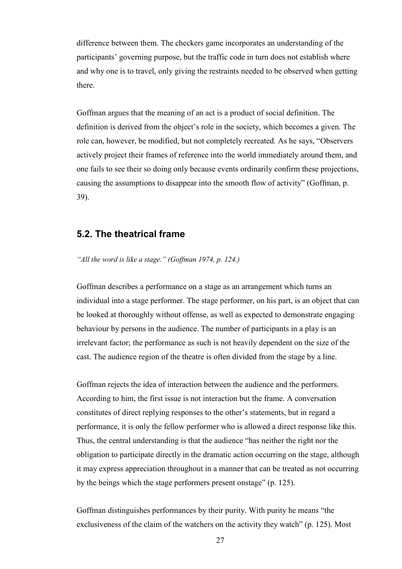difference between them. The checkers game incorporates an understanding of the participants' governing purpose, but the traffic code in turn does not establish where and why one is to travel, only giving the restraints needed to be observed when getting there.

Goffman argues that the meaning of an act is a product of social definition. The definition is derived from the object's role in the society, which becomes a given. The role can, however, be modified, but not completely recreated. As he says, "Observers actively project their frames of reference into the world immediately around them, and one fails to see their so doing only because events ordinarily confirm these projections, causing the assumptions to disappear into the smooth flow of activity" (Goffman, p. 39).

### **5.2. The theatrical frame**

*"All the word is like a stage." (Goffman 1974, p. 124.)*

Goffman describes a performance on a stage as an arrangement which turns an individual into a stage performer. The stage performer, on his part, is an object that can be looked at thoroughly without offense, as well as expected to demonstrate engaging behaviour by persons in the audience. The number of participants in a play is an irrelevant factor; the performance as such is not heavily dependent on the size of the cast. The audience region of the theatre is often divided from the stage by a line.

Goffman rejects the idea of interaction between the audience and the performers. According to him, the first issue is not interaction but the frame. A conversation constitutes of direct replying responses to the other's statements, but in regard a performance, it is only the fellow performer who is allowed a direct response like this. Thus, the central understanding is that the audience "has neither the right nor the obligation to participate directly in the dramatic action occurring on the stage, although it may express appreciation throughout in a manner that can be treated as not occurring by the beings which the stage performers present onstage" (p. 125).

Goffman distinguishes performances by their purity. With purity he means "the exclusiveness of the claim of the watchers on the activity they watch" (p. 125). Most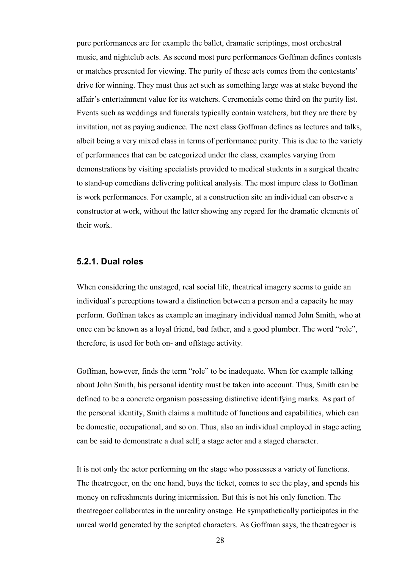pure performances are for example the ballet, dramatic scriptings, most orchestral music, and nightclub acts. As second most pure performances Goffman defines contests or matches presented for viewing. The purity of these acts comes from the contestants' drive for winning. They must thus act such as something large was at stake beyond the affair's entertainment value for its watchers. Ceremonials come third on the purity list. Events such as weddings and funerals typically contain watchers, but they are there by invitation, not as paying audience. The next class Goffman defines as lectures and talks, albeit being a very mixed class in terms of performance purity. This is due to the variety of performances that can be categorized under the class, examples varying from demonstrations by visiting specialists provided to medical students in a surgical theatre to stand-up comedians delivering political analysis. The most impure class to Goffman is work performances. For example, at a construction site an individual can observe a constructor at work, without the latter showing any regard for the dramatic elements of their work.

#### **5.2.1. Dual roles**

When considering the unstaged, real social life, theatrical imagery seems to guide an individual's perceptions toward a distinction between a person and a capacity he may perform. Goffman takes as example an imaginary individual named John Smith, who at once can be known as a loyal friend, bad father, and a good plumber. The word "role", therefore, is used for both on- and offstage activity.

Goffman, however, finds the term "role" to be inadequate. When for example talking about John Smith, his personal identity must be taken into account. Thus, Smith can be defined to be a concrete organism possessing distinctive identifying marks. As part of the personal identity, Smith claims a multitude of functions and capabilities, which can be domestic, occupational, and so on. Thus, also an individual employed in stage acting can be said to demonstrate a dual self; a stage actor and a staged character.

It is not only the actor performing on the stage who possesses a variety of functions. The theatregoer, on the one hand, buys the ticket, comes to see the play, and spends his money on refreshments during intermission. But this is not his only function. The theatregoer collaborates in the unreality onstage. He sympathetically participates in the unreal world generated by the scripted characters. As Goffman says, the theatregoer is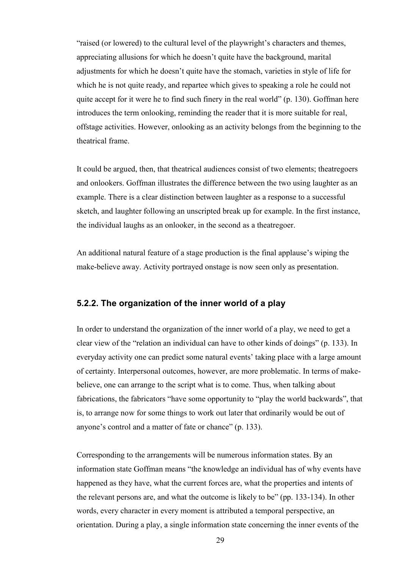"raised (or lowered) to the cultural level of the playwright's characters and themes, appreciating allusions for which he doesn't quite have the background, marital adjustments for which he doesn't quite have the stomach, varieties in style of life for which he is not quite ready, and repartee which gives to speaking a role he could not quite accept for it were he to find such finery in the real world" (p. 130). Goffman here introduces the term onlooking, reminding the reader that it is more suitable for real, offstage activities. However, onlooking as an activity belongs from the beginning to the theatrical frame.

It could be argued, then, that theatrical audiences consist of two elements; theatregoers and onlookers. Goffman illustrates the difference between the two using laughter as an example. There is a clear distinction between laughter as a response to a successful sketch, and laughter following an unscripted break up for example. In the first instance, the individual laughs as an onlooker, in the second as a theatregoer.

An additional natural feature of a stage production is the final applause's wiping the make-believe away. Activity portrayed onstage is now seen only as presentation.

#### **5.2.2. The organization of the inner world of a play**

In order to understand the organization of the inner world of a play, we need to get a clear view of the "relation an individual can have to other kinds of doings" (p. 133). In everyday activity one can predict some natural events' taking place with a large amount of certainty. Interpersonal outcomes, however, are more problematic. In terms of makebelieve, one can arrange to the script what is to come. Thus, when talking about fabrications, the fabricators "have some opportunity to "play the world backwards", that is, to arrange now for some things to work out later that ordinarily would be out of anyone's control and a matter of fate or chance" (p. 133).

Corresponding to the arrangements will be numerous information states. By an information state Goffman means "the knowledge an individual has of why events have happened as they have, what the current forces are, what the properties and intents of the relevant persons are, and what the outcome is likely to be" (pp. 133-134). In other words, every character in every moment is attributed a temporal perspective, an orientation. During a play, a single information state concerning the inner events of the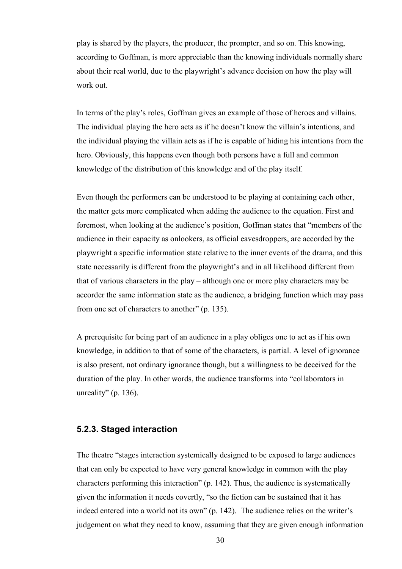play is shared by the players, the producer, the prompter, and so on. This knowing, according to Goffman, is more appreciable than the knowing individuals normally share about their real world, due to the playwright's advance decision on how the play will work out.

In terms of the play's roles, Goffman gives an example of those of heroes and villains. The individual playing the hero acts as if he doesn't know the villain's intentions, and the individual playing the villain acts as if he is capable of hiding his intentions from the hero. Obviously, this happens even though both persons have a full and common knowledge of the distribution of this knowledge and of the play itself.

Even though the performers can be understood to be playing at containing each other, the matter gets more complicated when adding the audience to the equation. First and foremost, when looking at the audience's position, Goffman states that "members of the audience in their capacity as onlookers, as official eavesdroppers, are accorded by the playwright a specific information state relative to the inner events of the drama, and this state necessarily is different from the playwright's and in all likelihood different from that of various characters in the play – although one or more play characters may be accorder the same information state as the audience, a bridging function which may pass from one set of characters to another" (p. 135).

A prerequisite for being part of an audience in a play obliges one to act as if his own knowledge, in addition to that of some of the characters, is partial. A level of ignorance is also present, not ordinary ignorance though, but a willingness to be deceived for the duration of the play. In other words, the audience transforms into "collaborators in unreality" (p. 136).

#### **5.2.3. Staged interaction**

The theatre "stages interaction systemically designed to be exposed to large audiences that can only be expected to have very general knowledge in common with the play characters performing this interaction" (p. 142). Thus, the audience is systematically given the information it needs covertly, "so the fiction can be sustained that it has indeed entered into a world not its own" (p. 142). The audience relies on the writer's judgement on what they need to know, assuming that they are given enough information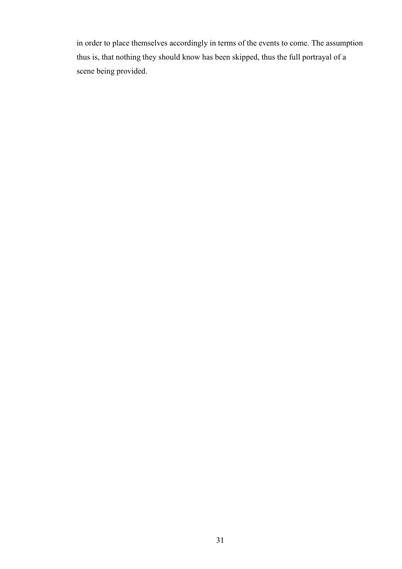in order to place themselves accordingly in terms of the events to come. The assumption thus is, that nothing they should know has been skipped, thus the full portrayal of a scene being provided.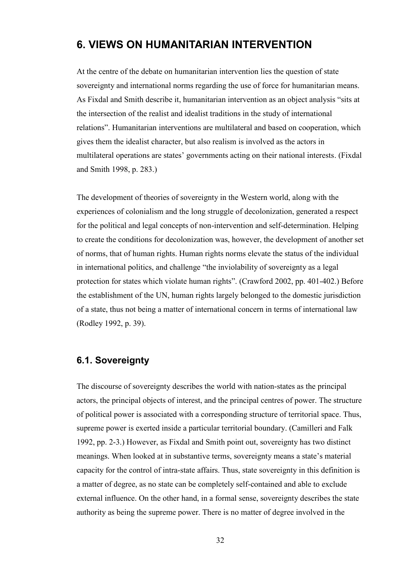# **6. VIEWS ON HUMANITARIAN INTERVENTION**

At the centre of the debate on humanitarian intervention lies the question of state sovereignty and international norms regarding the use of force for humanitarian means. As Fixdal and Smith describe it, humanitarian intervention as an object analysis "sits at the intersection of the realist and idealist traditions in the study of international relations". Humanitarian interventions are multilateral and based on cooperation, which gives them the idealist character, but also realism is involved as the actors in multilateral operations are states' governments acting on their national interests. (Fixdal and Smith 1998, p. 283.)

The development of theories of sovereignty in the Western world, along with the experiences of colonialism and the long struggle of decolonization, generated a respect for the political and legal concepts of non-intervention and self-determination. Helping to create the conditions for decolonization was, however, the development of another set of norms, that of human rights. Human rights norms elevate the status of the individual in international politics, and challenge "the inviolability of sovereignty as a legal protection for states which violate human rights". (Crawford 2002, pp. 401-402.) Before the establishment of the UN, human rights largely belonged to the domestic jurisdiction of a state, thus not being a matter of international concern in terms of international law (Rodley 1992, p. 39).

# **6.1. Sovereignty**

The discourse of sovereignty describes the world with nation-states as the principal actors, the principal objects of interest, and the principal centres of power. The structure of political power is associated with a corresponding structure of territorial space. Thus, supreme power is exerted inside a particular territorial boundary. (Camilleri and Falk 1992, pp. 2-3.) However, as Fixdal and Smith point out, sovereignty has two distinct meanings. When looked at in substantive terms, sovereignty means a state's material capacity for the control of intra-state affairs. Thus, state sovereignty in this definition is a matter of degree, as no state can be completely self-contained and able to exclude external influence. On the other hand, in a formal sense, sovereignty describes the state authority as being the supreme power. There is no matter of degree involved in the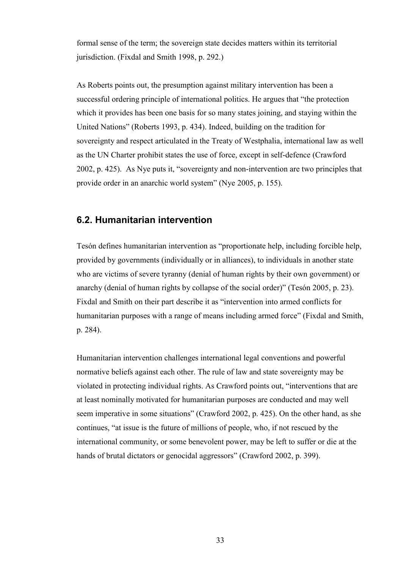formal sense of the term; the sovereign state decides matters within its territorial jurisdiction. (Fixdal and Smith 1998, p. 292.)

As Roberts points out, the presumption against military intervention has been a successful ordering principle of international politics. He argues that "the protection which it provides has been one basis for so many states joining, and staying within the United Nations" (Roberts 1993, p. 434). Indeed, building on the tradition for sovereignty and respect articulated in the Treaty of Westphalia, international law as well as the UN Charter prohibit states the use of force, except in self-defence (Crawford 2002, p. 425). As Nye puts it, "sovereignty and non-intervention are two principles that provide order in an anarchic world system" (Nye 2005, p. 155).

# **6.2. Humanitarian intervention**

Tesón defines humanitarian intervention as "proportionate help, including forcible help, provided by governments (individually or in alliances), to individuals in another state who are victims of severe tyranny (denial of human rights by their own government) or anarchy (denial of human rights by collapse of the social order)" (Tesón 2005, p. 23). Fixdal and Smith on their part describe it as "intervention into armed conflicts for humanitarian purposes with a range of means including armed force" (Fixdal and Smith, p. 284).

Humanitarian intervention challenges international legal conventions and powerful normative beliefs against each other. The rule of law and state sovereignty may be violated in protecting individual rights. As Crawford points out, "interventions that are at least nominally motivated for humanitarian purposes are conducted and may well seem imperative in some situations" (Crawford 2002, p. 425). On the other hand, as she continues, "at issue is the future of millions of people, who, if not rescued by the international community, or some benevolent power, may be left to suffer or die at the hands of brutal dictators or genocidal aggressors" (Crawford 2002, p. 399).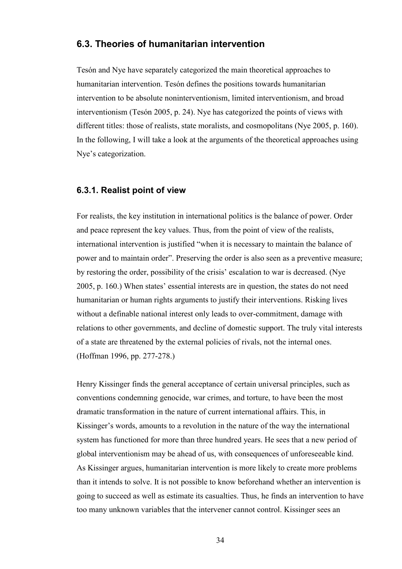## **6.3. Theories of humanitarian intervention**

Tesón and Nye have separately categorized the main theoretical approaches to humanitarian intervention. Tesón defines the positions towards humanitarian intervention to be absolute noninterventionism, limited interventionism, and broad interventionism (Tesón 2005, p. 24). Nye has categorized the points of views with different titles: those of realists, state moralists, and cosmopolitans (Nye 2005, p. 160). In the following, I will take a look at the arguments of the theoretical approaches using Nye's categorization.

## **6.3.1. Realist point of view**

For realists, the key institution in international politics is the balance of power. Order and peace represent the key values. Thus, from the point of view of the realists, international intervention is justified "when it is necessary to maintain the balance of power and to maintain order". Preserving the order is also seen as a preventive measure; by restoring the order, possibility of the crisis' escalation to war is decreased. (Nye 2005, p. 160.) When states' essential interests are in question, the states do not need humanitarian or human rights arguments to justify their interventions. Risking lives without a definable national interest only leads to over-commitment, damage with relations to other governments, and decline of domestic support. The truly vital interests of a state are threatened by the external policies of rivals, not the internal ones. (Hoffman 1996, pp. 277-278.)

Henry Kissinger finds the general acceptance of certain universal principles, such as conventions condemning genocide, war crimes, and torture, to have been the most dramatic transformation in the nature of current international affairs. This, in Kissinger's words, amounts to a revolution in the nature of the way the international system has functioned for more than three hundred years. He sees that a new period of global interventionism may be ahead of us, with consequences of unforeseeable kind. As Kissinger argues, humanitarian intervention is more likely to create more problems than it intends to solve. It is not possible to know beforehand whether an intervention is going to succeed as well as estimate its casualties. Thus, he finds an intervention to have too many unknown variables that the intervener cannot control. Kissinger sees an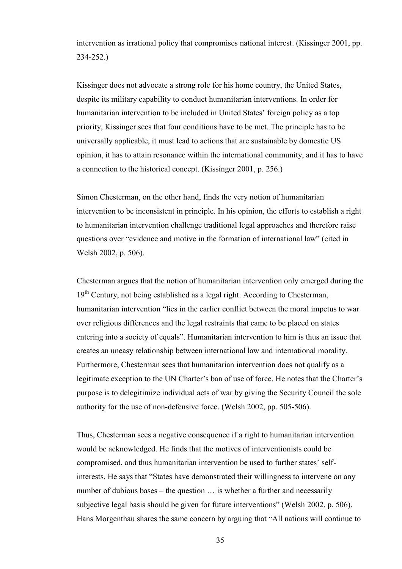intervention as irrational policy that compromises national interest. (Kissinger 2001, pp. 234-252.)

Kissinger does not advocate a strong role for his home country, the United States, despite its military capability to conduct humanitarian interventions. In order for humanitarian intervention to be included in United States' foreign policy as a top priority, Kissinger sees that four conditions have to be met. The principle has to be universally applicable, it must lead to actions that are sustainable by domestic US opinion, it has to attain resonance within the international community, and it has to have a connection to the historical concept. (Kissinger 2001, p. 256.)

Simon Chesterman, on the other hand, finds the very notion of humanitarian intervention to be inconsistent in principle. In his opinion, the efforts to establish a right to humanitarian intervention challenge traditional legal approaches and therefore raise questions over "evidence and motive in the formation of international law" (cited in Welsh 2002, p. 506).

Chesterman argues that the notion of humanitarian intervention only emerged during the 19<sup>th</sup> Century, not being established as a legal right. According to Chesterman, humanitarian intervention "lies in the earlier conflict between the moral impetus to war over religious differences and the legal restraints that came to be placed on states entering into a society of equals". Humanitarian intervention to him is thus an issue that creates an uneasy relationship between international law and international morality. Furthermore, Chesterman sees that humanitarian intervention does not qualify as a legitimate exception to the UN Charter's ban of use of force. He notes that the Charter's purpose is to delegitimize individual acts of war by giving the Security Council the sole authority for the use of non-defensive force. (Welsh 2002, pp. 505-506).

Thus, Chesterman sees a negative consequence if a right to humanitarian intervention would be acknowledged. He finds that the motives of interventionists could be compromised, and thus humanitarian intervention be used to further states' selfinterests. He says that "States have demonstrated their willingness to intervene on any number of dubious bases – the question  $\ldots$  is whether a further and necessarily subjective legal basis should be given for future interventions" (Welsh 2002, p. 506). Hans Morgenthau shares the same concern by arguing that "All nations will continue to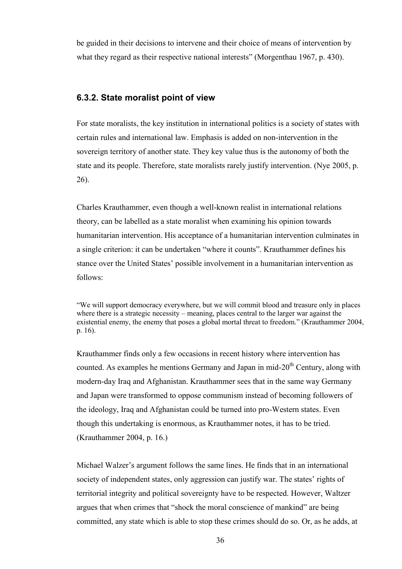be guided in their decisions to intervene and their choice of means of intervention by what they regard as their respective national interests" (Morgenthau 1967, p. 430).

## **6.3.2. State moralist point of view**

For state moralists, the key institution in international politics is a society of states with certain rules and international law. Emphasis is added on non-intervention in the sovereign territory of another state. They key value thus is the autonomy of both the state and its people. Therefore, state moralists rarely justify intervention. (Nye 2005, p. 26).

Charles Krauthammer, even though a well-known realist in international relations theory, can be labelled as a state moralist when examining his opinion towards humanitarian intervention. His acceptance of a humanitarian intervention culminates in a single criterion: it can be undertaken "where it counts". Krauthammer defines his stance over the United States' possible involvement in a humanitarian intervention as follows:

"We will support democracy everywhere, but we will commit blood and treasure only in places where there is a strategic necessity – meaning, places central to the larger war against the existential enemy, the enemy that poses a global mortal threat to freedom." (Krauthammer 2004, p. 16).

Krauthammer finds only a few occasions in recent history where intervention has counted. As examples he mentions Germany and Japan in mid- $20<sup>th</sup>$  Century, along with modern-day Iraq and Afghanistan. Krauthammer sees that in the same way Germany and Japan were transformed to oppose communism instead of becoming followers of the ideology, Iraq and Afghanistan could be turned into pro-Western states. Even though this undertaking is enormous, as Krauthammer notes, it has to be tried. (Krauthammer 2004, p. 16.)

Michael Walzer's argument follows the same lines. He finds that in an international society of independent states, only aggression can justify war. The states' rights of territorial integrity and political sovereignty have to be respected. However, Waltzer argues that when crimes that "shock the moral conscience of mankind" are being committed, any state which is able to stop these crimes should do so. Or, as he adds, at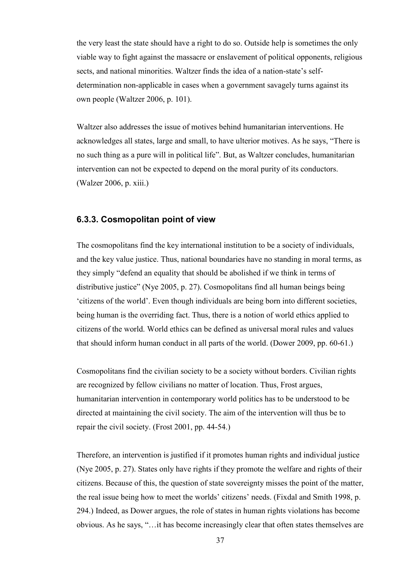the very least the state should have a right to do so. Outside help is sometimes the only viable way to fight against the massacre or enslavement of political opponents, religious sects, and national minorities. Waltzer finds the idea of a nation-state's selfdetermination non-applicable in cases when a government savagely turns against its own people (Waltzer 2006, p. 101).

Waltzer also addresses the issue of motives behind humanitarian interventions. He acknowledges all states, large and small, to have ulterior motives. As he says, "There is no such thing as a pure will in political life". But, as Waltzer concludes, humanitarian intervention can not be expected to depend on the moral purity of its conductors. (Walzer 2006, p. xiii.)

## **6.3.3. Cosmopolitan point of view**

The cosmopolitans find the key international institution to be a society of individuals, and the key value justice. Thus, national boundaries have no standing in moral terms, as they simply "defend an equality that should be abolished if we think in terms of distributive justice" (Nye 2005, p. 27). Cosmopolitans find all human beings being 'citizens of the world'. Even though individuals are being born into different societies, being human is the overriding fact. Thus, there is a notion of world ethics applied to citizens of the world. World ethics can be defined as universal moral rules and values that should inform human conduct in all parts of the world. (Dower 2009, pp. 60-61.)

Cosmopolitans find the civilian society to be a society without borders. Civilian rights are recognized by fellow civilians no matter of location. Thus, Frost argues, humanitarian intervention in contemporary world politics has to be understood to be directed at maintaining the civil society. The aim of the intervention will thus be to repair the civil society. (Frost 2001, pp. 44-54.)

Therefore, an intervention is justified if it promotes human rights and individual justice (Nye 2005, p. 27). States only have rights if they promote the welfare and rights of their citizens. Because of this, the question of state sovereignty misses the point of the matter, the real issue being how to meet the worlds' citizens' needs. (Fixdal and Smith 1998, p. 294.) Indeed, as Dower argues, the role of states in human rights violations has become obvious. As he says, "…it has become increasingly clear that often states themselves are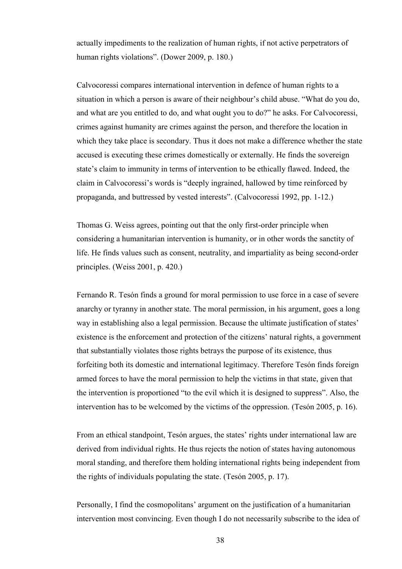actually impediments to the realization of human rights, if not active perpetrators of human rights violations". (Dower 2009, p. 180.)

Calvocoressi compares international intervention in defence of human rights to a situation in which a person is aware of their neighbour's child abuse. "What do you do, and what are you entitled to do, and what ought you to do?" he asks. For Calvocoressi, crimes against humanity are crimes against the person, and therefore the location in which they take place is secondary. Thus it does not make a difference whether the state accused is executing these crimes domestically or externally. He finds the sovereign state's claim to immunity in terms of intervention to be ethically flawed. Indeed, the claim in Calvocoressi's words is "deeply ingrained, hallowed by time reinforced by propaganda, and buttressed by vested interests". (Calvocoressi 1992, pp. 1-12.)

Thomas G. Weiss agrees, pointing out that the only first-order principle when considering a humanitarian intervention is humanity, or in other words the sanctity of life. He finds values such as consent, neutrality, and impartiality as being second-order principles. (Weiss 2001, p. 420.)

Fernando R. Tesón finds a ground for moral permission to use force in a case of severe anarchy or tyranny in another state. The moral permission, in his argument, goes a long way in establishing also a legal permission. Because the ultimate justification of states' existence is the enforcement and protection of the citizens' natural rights, a government that substantially violates those rights betrays the purpose of its existence, thus forfeiting both its domestic and international legitimacy. Therefore Tesón finds foreign armed forces to have the moral permission to help the victims in that state, given that the intervention is proportioned "to the evil which it is designed to suppress". Also, the intervention has to be welcomed by the victims of the oppression. (Tesón 2005, p. 16).

From an ethical standpoint, Tesón argues, the states' rights under international law are derived from individual rights. He thus rejects the notion of states having autonomous moral standing, and therefore them holding international rights being independent from the rights of individuals populating the state. (Tesón 2005, p. 17).

Personally, I find the cosmopolitans' argument on the justification of a humanitarian intervention most convincing. Even though I do not necessarily subscribe to the idea of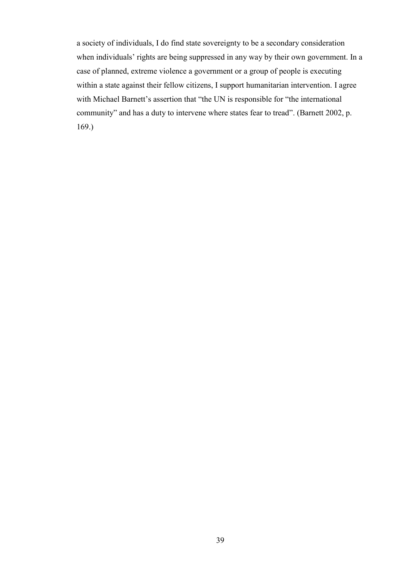a society of individuals, I do find state sovereignty to be a secondary consideration when individuals' rights are being suppressed in any way by their own government. In a case of planned, extreme violence a government or a group of people is executing within a state against their fellow citizens, I support humanitarian intervention. I agree with Michael Barnett's assertion that "the UN is responsible for "the international community" and has a duty to intervene where states fear to tread". (Barnett 2002, p. 169.)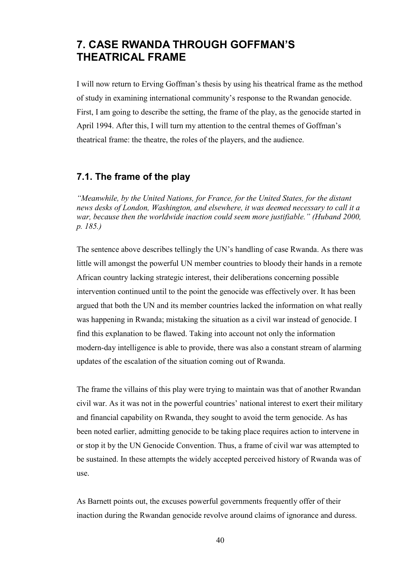# **7. CASE RWANDA THROUGH GOFFMAN'S THEATRICAL FRAME**

I will now return to Erving Goffman's thesis by using his theatrical frame as the method of study in examining international community's response to the Rwandan genocide. First, I am going to describe the setting, the frame of the play, as the genocide started in April 1994. After this, I will turn my attention to the central themes of Goffman's theatrical frame: the theatre, the roles of the players, and the audience.

# **7.1. The frame of the play**

*"Meanwhile, by the United Nations, for France, for the United States, for the distant news desks of London, Washington, and elsewhere, it was deemed necessary to call it a*  war, because then the worldwide inaction could seem more justifiable." (Huband 2000, *p. 185.)*

The sentence above describes tellingly the UN's handling of case Rwanda. As there was little will amongst the powerful UN member countries to bloody their hands in a remote African country lacking strategic interest, their deliberations concerning possible intervention continued until to the point the genocide was effectively over. It has been argued that both the UN and its member countries lacked the information on what really was happening in Rwanda; mistaking the situation as a civil war instead of genocide. I find this explanation to be flawed. Taking into account not only the information modern-day intelligence is able to provide, there was also a constant stream of alarming updates of the escalation of the situation coming out of Rwanda.

The frame the villains of this play were trying to maintain was that of another Rwandan civil war. As it was not in the powerful countries' national interest to exert their military and financial capability on Rwanda, they sought to avoid the term genocide. As has been noted earlier, admitting genocide to be taking place requires action to intervene in or stop it by the UN Genocide Convention. Thus, a frame of civil war was attempted to be sustained. In these attempts the widely accepted perceived history of Rwanda was of use.

As Barnett points out, the excuses powerful governments frequently offer of their inaction during the Rwandan genocide revolve around claims of ignorance and duress.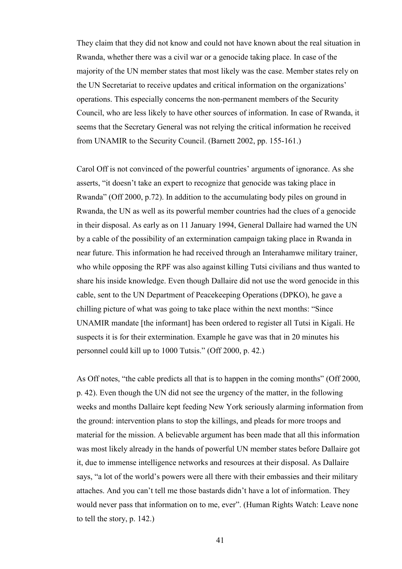They claim that they did not know and could not have known about the real situation in Rwanda, whether there was a civil war or a genocide taking place. In case of the majority of the UN member states that most likely was the case. Member states rely on the UN Secretariat to receive updates and critical information on the organizations' operations. This especially concerns the non-permanent members of the Security Council, who are less likely to have other sources of information. In case of Rwanda, it seems that the Secretary General was not relying the critical information he received from UNAMIR to the Security Council. (Barnett 2002, pp. 155-161.)

Carol Off is not convinced of the powerful countries' arguments of ignorance. As she asserts, "it doesn't take an expert to recognize that genocide was taking place in Rwanda" (Off 2000, p.72). In addition to the accumulating body piles on ground in Rwanda, the UN as well as its powerful member countries had the clues of a genocide in their disposal. As early as on 11 January 1994, General Dallaire had warned the UN by a cable of the possibility of an extermination campaign taking place in Rwanda in near future. This information he had received through an Interahamwe military trainer, who while opposing the RPF was also against killing Tutsi civilians and thus wanted to share his inside knowledge. Even though Dallaire did not use the word genocide in this cable, sent to the UN Department of Peacekeeping Operations (DPKO), he gave a chilling picture of what was going to take place within the next months: "Since UNAMIR mandate [the informant] has been ordered to register all Tutsi in Kigali. He suspects it is for their extermination. Example he gave was that in 20 minutes his personnel could kill up to 1000 Tutsis." (Off 2000, p. 42.)

As Off notes, "the cable predicts all that is to happen in the coming months" (Off 2000, p. 42). Even though the UN did not see the urgency of the matter, in the following weeks and months Dallaire kept feeding New York seriously alarming information from the ground: intervention plans to stop the killings, and pleads for more troops and material for the mission. A believable argument has been made that all this information was most likely already in the hands of powerful UN member states before Dallaire got it, due to immense intelligence networks and resources at their disposal. As Dallaire says, "a lot of the world's powers were all there with their embassies and their military attaches. And you can't tell me those bastards didn't have a lot of information. They would never pass that information on to me, ever". (Human Rights Watch: Leave none to tell the story, p. 142.)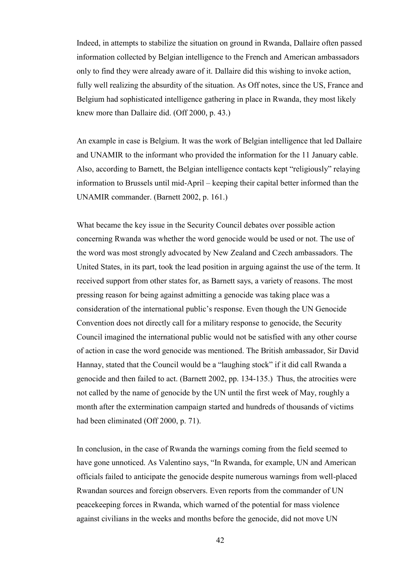Indeed, in attempts to stabilize the situation on ground in Rwanda, Dallaire often passed information collected by Belgian intelligence to the French and American ambassadors only to find they were already aware of it. Dallaire did this wishing to invoke action, fully well realizing the absurdity of the situation. As Off notes, since the US, France and Belgium had sophisticated intelligence gathering in place in Rwanda, they most likely knew more than Dallaire did. (Off 2000, p. 43.)

An example in case is Belgium. It was the work of Belgian intelligence that led Dallaire and UNAMIR to the informant who provided the information for the 11 January cable. Also, according to Barnett, the Belgian intelligence contacts kept "religiously" relaying information to Brussels until mid-April – keeping their capital better informed than the UNAMIR commander. (Barnett 2002, p. 161.)

What became the key issue in the Security Council debates over possible action concerning Rwanda was whether the word genocide would be used or not. The use of the word was most strongly advocated by New Zealand and Czech ambassadors. The United States, in its part, took the lead position in arguing against the use of the term. It received support from other states for, as Barnett says, a variety of reasons. The most pressing reason for being against admitting a genocide was taking place was a consideration of the international public's response. Even though the UN Genocide Convention does not directly call for a military response to genocide, the Security Council imagined the international public would not be satisfied with any other course of action in case the word genocide was mentioned. The British ambassador, Sir David Hannay, stated that the Council would be a "laughing stock" if it did call Rwanda a genocide and then failed to act. (Barnett 2002, pp. 134-135.) Thus, the atrocities were not called by the name of genocide by the UN until the first week of May, roughly a month after the extermination campaign started and hundreds of thousands of victims had been eliminated (Off 2000, p. 71).

In conclusion, in the case of Rwanda the warnings coming from the field seemed to have gone unnoticed. As Valentino says, "In Rwanda, for example, UN and American officials failed to anticipate the genocide despite numerous warnings from well-placed Rwandan sources and foreign observers. Even reports from the commander of UN peacekeeping forces in Rwanda, which warned of the potential for mass violence against civilians in the weeks and months before the genocide, did not move UN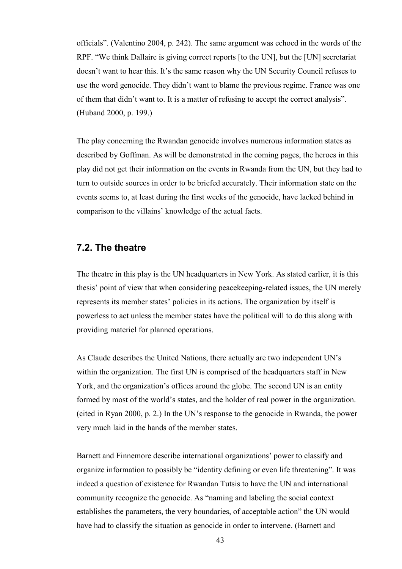officials". (Valentino 2004, p. 242). The same argument was echoed in the words of the RPF. "We think Dallaire is giving correct reports [to the UN], but the [UN] secretariat doesn't want to hear this. It's the same reason why the UN Security Council refuses to use the word genocide. They didn't want to blame the previous regime. France was one of them that didn't want to. It is a matter of refusing to accept the correct analysis". (Huband 2000, p. 199.)

The play concerning the Rwandan genocide involves numerous information states as described by Goffman. As will be demonstrated in the coming pages, the heroes in this play did not get their information on the events in Rwanda from the UN, but they had to turn to outside sources in order to be briefed accurately. Their information state on the events seems to, at least during the first weeks of the genocide, have lacked behind in comparison to the villains' knowledge of the actual facts.

## **7.2. The theatre**

The theatre in this play is the UN headquarters in New York. As stated earlier, it is this thesis' point of view that when considering peacekeeping-related issues, the UN merely represents its member states' policies in its actions. The organization by itself is powerless to act unless the member states have the political will to do this along with providing materiel for planned operations.

As Claude describes the United Nations, there actually are two independent UN's within the organization. The first UN is comprised of the headquarters staff in New York, and the organization's offices around the globe. The second UN is an entity formed by most of the world's states, and the holder of real power in the organization. (cited in Ryan 2000, p. 2.) In the UN's response to the genocide in Rwanda, the power very much laid in the hands of the member states.

Barnett and Finnemore describe international organizations' power to classify and organize information to possibly be "identity defining or even life threatening". It was indeed a question of existence for Rwandan Tutsis to have the UN and international community recognize the genocide. As "naming and labeling the social context establishes the parameters, the very boundaries, of acceptable action" the UN would have had to classify the situation as genocide in order to intervene. (Barnett and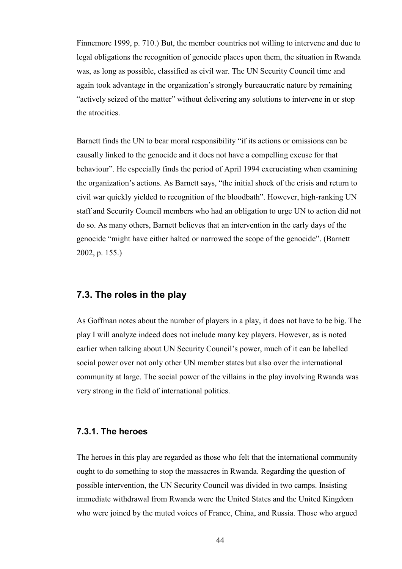Finnemore 1999, p. 710.) But, the member countries not willing to intervene and due to legal obligations the recognition of genocide places upon them, the situation in Rwanda was, as long as possible, classified as civil war. The UN Security Council time and again took advantage in the organization's strongly bureaucratic nature by remaining "actively seized of the matter" without delivering any solutions to intervene in or stop the atrocities.

Barnett finds the UN to bear moral responsibility "if its actions or omissions can be causally linked to the genocide and it does not have a compelling excuse for that behaviour". He especially finds the period of April 1994 excruciating when examining the organization's actions. As Barnett says, "the initial shock of the crisis and return to civil war quickly yielded to recognition of the bloodbath". However, high-ranking UN staff and Security Council members who had an obligation to urge UN to action did not do so. As many others, Barnett believes that an intervention in the early days of the genocide "might have either halted or narrowed the scope of the genocide". (Barnett 2002, p. 155.)

## **7.3. The roles in the play**

As Goffman notes about the number of players in a play, it does not have to be big. The play I will analyze indeed does not include many key players. However, as is noted earlier when talking about UN Security Council's power, much of it can be labelled social power over not only other UN member states but also over the international community at large. The social power of the villains in the play involving Rwanda was very strong in the field of international politics.

#### **7.3.1. The heroes**

The heroes in this play are regarded as those who felt that the international community ought to do something to stop the massacres in Rwanda. Regarding the question of possible intervention, the UN Security Council was divided in two camps. Insisting immediate withdrawal from Rwanda were the United States and the United Kingdom who were joined by the muted voices of France, China, and Russia. Those who argued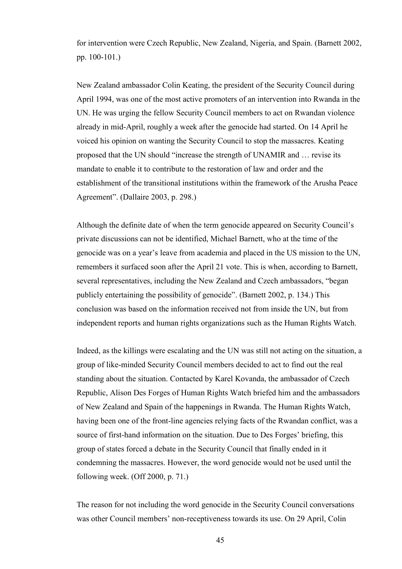for intervention were Czech Republic, New Zealand, Nigeria, and Spain. (Barnett 2002, pp. 100-101.)

New Zealand ambassador Colin Keating, the president of the Security Council during April 1994, was one of the most active promoters of an intervention into Rwanda in the UN. He was urging the fellow Security Council members to act on Rwandan violence already in mid-April, roughly a week after the genocide had started. On 14 April he voiced his opinion on wanting the Security Council to stop the massacres. Keating proposed that the UN should "increase the strength of UNAMIR and … revise its mandate to enable it to contribute to the restoration of law and order and the establishment of the transitional institutions within the framework of the Arusha Peace Agreement". (Dallaire 2003, p. 298.)

Although the definite date of when the term genocide appeared on Security Council's private discussions can not be identified, Michael Barnett, who at the time of the genocide was on a year's leave from academia and placed in the US mission to the UN, remembers it surfaced soon after the April 21 vote. This is when, according to Barnett, several representatives, including the New Zealand and Czech ambassadors, "began publicly entertaining the possibility of genocide". (Barnett 2002, p. 134.) This conclusion was based on the information received not from inside the UN, but from independent reports and human rights organizations such as the Human Rights Watch.

Indeed, as the killings were escalating and the UN was still not acting on the situation, a group of like-minded Security Council members decided to act to find out the real standing about the situation. Contacted by Karel Kovanda, the ambassador of Czech Republic, Alison Des Forges of Human Rights Watch briefed him and the ambassadors of New Zealand and Spain of the happenings in Rwanda. The Human Rights Watch, having been one of the front-line agencies relying facts of the Rwandan conflict, was a source of first-hand information on the situation. Due to Des Forges' briefing, this group of states forced a debate in the Security Council that finally ended in it condemning the massacres. However, the word genocide would not be used until the following week. (Off 2000, p. 71.)

The reason for not including the word genocide in the Security Council conversations was other Council members' non-receptiveness towards its use. On 29 April, Colin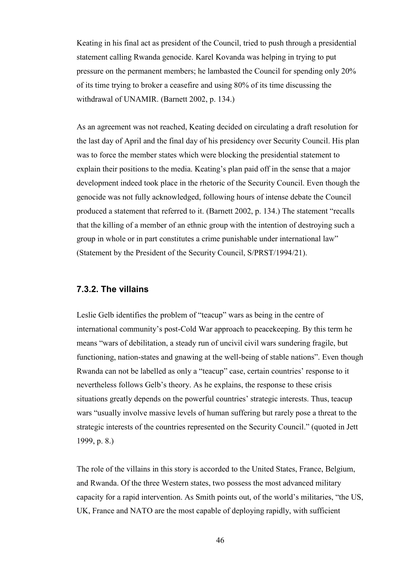Keating in his final act as president of the Council, tried to push through a presidential statement calling Rwanda genocide. Karel Kovanda was helping in trying to put pressure on the permanent members; he lambasted the Council for spending only 20% of its time trying to broker a ceasefire and using 80% of its time discussing the withdrawal of UNAMIR. (Barnett 2002, p. 134.)

As an agreement was not reached, Keating decided on circulating a draft resolution for the last day of April and the final day of his presidency over Security Council. His plan was to force the member states which were blocking the presidential statement to explain their positions to the media. Keating's plan paid off in the sense that a major development indeed took place in the rhetoric of the Security Council. Even though the genocide was not fully acknowledged, following hours of intense debate the Council produced a statement that referred to it. (Barnett 2002, p. 134.) The statement "recalls that the killing of a member of an ethnic group with the intention of destroying such a group in whole or in part constitutes a crime punishable under international law" (Statement by the President of the Security Council, S/PRST/1994/21).

## **7.3.2. The villains**

Leslie Gelb identifies the problem of "teacup" wars as being in the centre of international community's post-Cold War approach to peacekeeping. By this term he means "wars of debilitation, a steady run of uncivil civil wars sundering fragile, but functioning, nation-states and gnawing at the well-being of stable nations". Even though Rwanda can not be labelled as only a "teacup" case, certain countries' response to it nevertheless follows Gelb's theory. As he explains, the response to these crisis situations greatly depends on the powerful countries' strategic interests. Thus, teacup wars "usually involve massive levels of human suffering but rarely pose a threat to the strategic interests of the countries represented on the Security Council." (quoted in Jett 1999, p. 8.)

The role of the villains in this story is accorded to the United States, France, Belgium, and Rwanda. Of the three Western states, two possess the most advanced military capacity for a rapid intervention. As Smith points out, of the world's militaries, "the US, UK, France and NATO are the most capable of deploying rapidly, with sufficient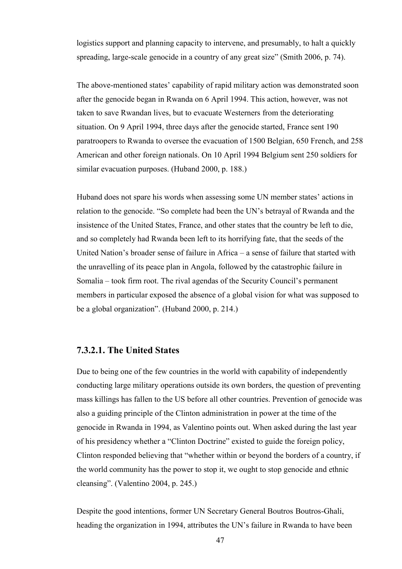logistics support and planning capacity to intervene, and presumably, to halt a quickly spreading, large-scale genocide in a country of any great size" (Smith 2006, p. 74).

The above-mentioned states' capability of rapid military action was demonstrated soon after the genocide began in Rwanda on 6 April 1994. This action, however, was not taken to save Rwandan lives, but to evacuate Westerners from the deteriorating situation. On 9 April 1994, three days after the genocide started, France sent 190 paratroopers to Rwanda to oversee the evacuation of 1500 Belgian, 650 French, and 258 American and other foreign nationals. On 10 April 1994 Belgium sent 250 soldiers for similar evacuation purposes. (Huband 2000, p. 188.)

Huband does not spare his words when assessing some UN member states' actions in relation to the genocide. "So complete had been the UN's betrayal of Rwanda and the insistence of the United States, France, and other states that the country be left to die, and so completely had Rwanda been left to its horrifying fate, that the seeds of the United Nation's broader sense of failure in Africa – a sense of failure that started with the unravelling of its peace plan in Angola, followed by the catastrophic failure in Somalia – took firm root. The rival agendas of the Security Council's permanent members in particular exposed the absence of a global vision for what was supposed to be a global organization". (Huband 2000, p. 214.)

## **7.3.2.1. The United States**

Due to being one of the few countries in the world with capability of independently conducting large military operations outside its own borders, the question of preventing mass killings has fallen to the US before all other countries. Prevention of genocide was also a guiding principle of the Clinton administration in power at the time of the genocide in Rwanda in 1994, as Valentino points out. When asked during the last year of his presidency whether a "Clinton Doctrine" existed to guide the foreign policy, Clinton responded believing that "whether within or beyond the borders of a country, if the world community has the power to stop it, we ought to stop genocide and ethnic cleansing". (Valentino 2004, p. 245.)

Despite the good intentions, former UN Secretary General Boutros Boutros-Ghali, heading the organization in 1994, attributes the UN's failure in Rwanda to have been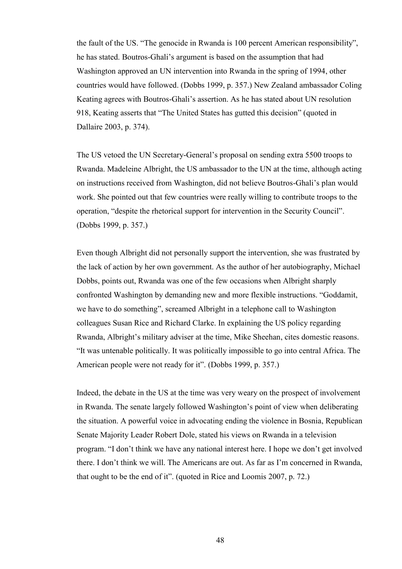the fault of the US. "The genocide in Rwanda is 100 percent American responsibility", he has stated. Boutros-Ghali's argument is based on the assumption that had Washington approved an UN intervention into Rwanda in the spring of 1994, other countries would have followed. (Dobbs 1999, p. 357.) New Zealand ambassador Coling Keating agrees with Boutros-Ghali's assertion. As he has stated about UN resolution 918, Keating asserts that "The United States has gutted this decision" (quoted in Dallaire 2003, p. 374).

The US vetoed the UN Secretary-General's proposal on sending extra 5500 troops to Rwanda. Madeleine Albright, the US ambassador to the UN at the time, although acting on instructions received from Washington, did not believe Boutros-Ghali's plan would work. She pointed out that few countries were really willing to contribute troops to the operation, "despite the rhetorical support for intervention in the Security Council". (Dobbs 1999, p. 357.)

Even though Albright did not personally support the intervention, she was frustrated by the lack of action by her own government. As the author of her autobiography, Michael Dobbs, points out, Rwanda was one of the few occasions when Albright sharply confronted Washington by demanding new and more flexible instructions. "Goddamit, we have to do something", screamed Albright in a telephone call to Washington colleagues Susan Rice and Richard Clarke. In explaining the US policy regarding Rwanda, Albright's military adviser at the time, Mike Sheehan, cites domestic reasons. "It was untenable politically. It was politically impossible to go into central Africa. The American people were not ready for it". (Dobbs 1999, p. 357.)

Indeed, the debate in the US at the time was very weary on the prospect of involvement in Rwanda. The senate largely followed Washington's point of view when deliberating the situation. A powerful voice in advocating ending the violence in Bosnia, Republican Senate Majority Leader Robert Dole, stated his views on Rwanda in a television program. "I don't think we have any national interest here. I hope we don't get involved there. I don't think we will. The Americans are out. As far as I'm concerned in Rwanda, that ought to be the end of it". (quoted in Rice and Loomis 2007, p. 72.)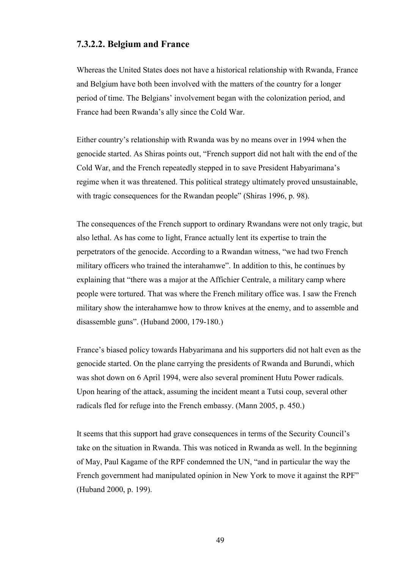## **7.3.2.2. Belgium and France**

Whereas the United States does not have a historical relationship with Rwanda, France and Belgium have both been involved with the matters of the country for a longer period of time. The Belgians' involvement began with the colonization period, and France had been Rwanda's ally since the Cold War.

Either country's relationship with Rwanda was by no means over in 1994 when the genocide started. As Shiras points out, "French support did not halt with the end of the Cold War, and the French repeatedly stepped in to save President Habyarimana's regime when it was threatened. This political strategy ultimately proved unsustainable, with tragic consequences for the Rwandan people" (Shiras 1996, p. 98).

The consequences of the French support to ordinary Rwandans were not only tragic, but also lethal. As has come to light, France actually lent its expertise to train the perpetrators of the genocide. According to a Rwandan witness, "we had two French military officers who trained the interahamwe". In addition to this, he continues by explaining that "there was a major at the Affichier Centrale, a military camp where people were tortured. That was where the French military office was. I saw the French military show the interahamwe how to throw knives at the enemy, and to assemble and disassemble guns". (Huband 2000, 179-180.)

France's biased policy towards Habyarimana and his supporters did not halt even as the genocide started. On the plane carrying the presidents of Rwanda and Burundi, which was shot down on 6 April 1994, were also several prominent Hutu Power radicals. Upon hearing of the attack, assuming the incident meant a Tutsi coup, several other radicals fled for refuge into the French embassy. (Mann 2005, p. 450.)

It seems that this support had grave consequences in terms of the Security Council's take on the situation in Rwanda. This was noticed in Rwanda as well. In the beginning of May, Paul Kagame of the RPF condemned the UN, "and in particular the way the French government had manipulated opinion in New York to move it against the RPF" (Huband 2000, p. 199).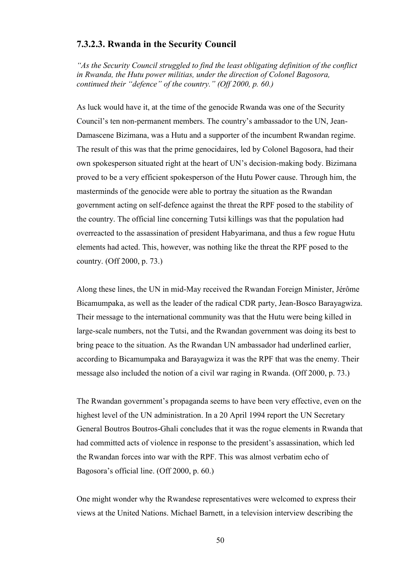## **7.3.2.3. Rwanda in the Security Council**

*"As the Security Council struggled to find the least obligating definition of the conflict in Rwanda, the Hutu power militias, under the direction of Colonel Bagosora, continued their "defence" of the country." (Off 2000, p. 60.)*

As luck would have it, at the time of the genocide Rwanda was one of the Security Council's ten non-permanent members. The country's ambassador to the UN, Jean-Damascene Bizimana, was a Hutu and a supporter of the incumbent Rwandan regime. The result of this was that the prime genocidaires, led by Colonel Bagosora, had their own spokesperson situated right at the heart of UN's decision-making body. Bizimana proved to be a very efficient spokesperson of the Hutu Power cause. Through him, the masterminds of the genocide were able to portray the situation as the Rwandan government acting on self-defence against the threat the RPF posed to the stability of the country. The official line concerning Tutsi killings was that the population had overreacted to the assassination of president Habyarimana, and thus a few rogue Hutu elements had acted. This, however, was nothing like the threat the RPF posed to the country. (Off 2000, p. 73.)

Along these lines, the UN in mid-May received the Rwandan Foreign Minister, Jérôme Bicamumpaka, as well as the leader of the radical CDR party, Jean-Bosco Barayagwiza. Their message to the international community was that the Hutu were being killed in large-scale numbers, not the Tutsi, and the Rwandan government was doing its best to bring peace to the situation. As the Rwandan UN ambassador had underlined earlier, according to Bicamumpaka and Barayagwiza it was the RPF that was the enemy. Their message also included the notion of a civil war raging in Rwanda. (Off 2000, p. 73.)

The Rwandan government's propaganda seems to have been very effective, even on the highest level of the UN administration. In a 20 April 1994 report the UN Secretary General Boutros Boutros-Ghali concludes that it was the rogue elements in Rwanda that had committed acts of violence in response to the president's assassination, which led the Rwandan forces into war with the RPF. This was almost verbatim echo of Bagosora's official line. (Off 2000, p. 60.)

One might wonder why the Rwandese representatives were welcomed to express their views at the United Nations. Michael Barnett, in a television interview describing the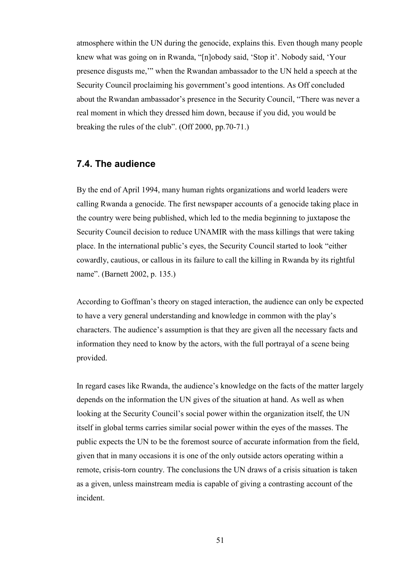atmosphere within the UN during the genocide, explains this. Even though many people knew what was going on in Rwanda, "[n]obody said, 'Stop it'. Nobody said, 'Your presence disgusts me,'" when the Rwandan ambassador to the UN held a speech at the Security Council proclaiming his government's good intentions. As Off concluded about the Rwandan ambassador's presence in the Security Council, "There was never a real moment in which they dressed him down, because if you did, you would be breaking the rules of the club". (Off 2000, pp.70-71.)

# **7.4. The audience**

By the end of April 1994, many human rights organizations and world leaders were calling Rwanda a genocide. The first newspaper accounts of a genocide taking place in the country were being published, which led to the media beginning to juxtapose the Security Council decision to reduce UNAMIR with the mass killings that were taking place. In the international public's eyes, the Security Council started to look "either cowardly, cautious, or callous in its failure to call the killing in Rwanda by its rightful name". (Barnett 2002, p. 135.)

According to Goffman's theory on staged interaction, the audience can only be expected to have a very general understanding and knowledge in common with the play's characters. The audience's assumption is that they are given all the necessary facts and information they need to know by the actors, with the full portrayal of a scene being provided.

In regard cases like Rwanda, the audience's knowledge on the facts of the matter largely depends on the information the UN gives of the situation at hand. As well as when looking at the Security Council's social power within the organization itself, the UN itself in global terms carries similar social power within the eyes of the masses. The public expects the UN to be the foremost source of accurate information from the field, given that in many occasions it is one of the only outside actors operating within a remote, crisis-torn country. The conclusions the UN draws of a crisis situation is taken as a given, unless mainstream media is capable of giving a contrasting account of the incident.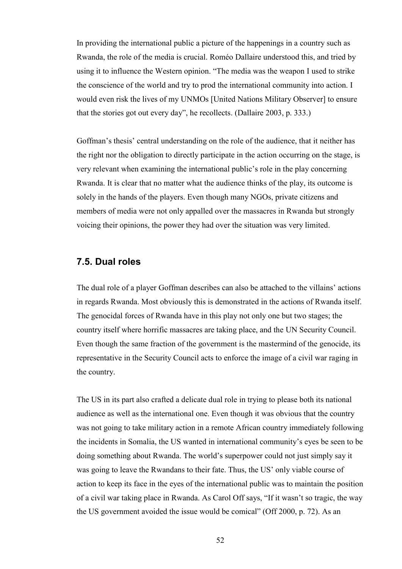In providing the international public a picture of the happenings in a country such as Rwanda, the role of the media is crucial. Roméo Dallaire understood this, and tried by using it to influence the Western opinion. "The media was the weapon I used to strike the conscience of the world and try to prod the international community into action. I would even risk the lives of my UNMOs [United Nations Military Observer] to ensure that the stories got out every day", he recollects. (Dallaire 2003, p. 333.)

Goffman's thesis' central understanding on the role of the audience, that it neither has the right nor the obligation to directly participate in the action occurring on the stage, is very relevant when examining the international public's role in the play concerning Rwanda. It is clear that no matter what the audience thinks of the play, its outcome is solely in the hands of the players. Even though many NGOs, private citizens and members of media were not only appalled over the massacres in Rwanda but strongly voicing their opinions, the power they had over the situation was very limited.

## **7.5. Dual roles**

The dual role of a player Goffman describes can also be attached to the villains' actions in regards Rwanda. Most obviously this is demonstrated in the actions of Rwanda itself. The genocidal forces of Rwanda have in this play not only one but two stages; the country itself where horrific massacres are taking place, and the UN Security Council. Even though the same fraction of the government is the mastermind of the genocide, its representative in the Security Council acts to enforce the image of a civil war raging in the country.

The US in its part also crafted a delicate dual role in trying to please both its national audience as well as the international one. Even though it was obvious that the country was not going to take military action in a remote African country immediately following the incidents in Somalia, the US wanted in international community's eyes be seen to be doing something about Rwanda. The world's superpower could not just simply say it was going to leave the Rwandans to their fate. Thus, the US' only viable course of action to keep its face in the eyes of the international public was to maintain the position of a civil war taking place in Rwanda. As Carol Off says, "If it wasn't so tragic, the way the US government avoided the issue would be comical" (Off 2000, p. 72). As an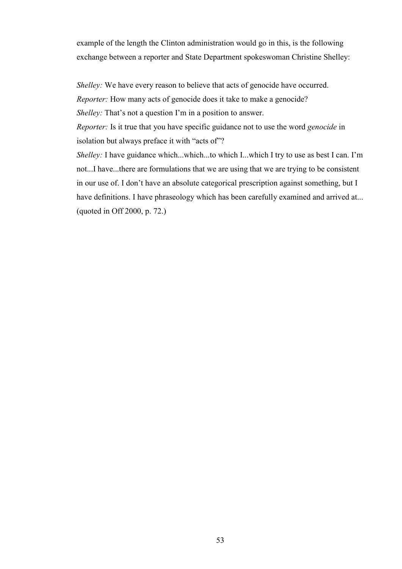example of the length the Clinton administration would go in this, is the following exchange between a reporter and State Department spokeswoman Christine Shelley:

*Shelley:* We have every reason to believe that acts of genocide have occurred.

*Reporter:* How many acts of genocide does it take to make a genocide?

*Shelley:* That's not a question I'm in a position to answer.

*Reporter:* Is it true that you have specific guidance not to use the word *genocide* in isolation but always preface it with "acts of"?

*Shelley:* I have guidance which...which...to which I...which I try to use as best I can. I'm not...I have...there are formulations that we are using that we are trying to be consistent in our use of. I don't have an absolute categorical prescription against something, but I have definitions. I have phraseology which has been carefully examined and arrived at... (quoted in Off 2000, p. 72.)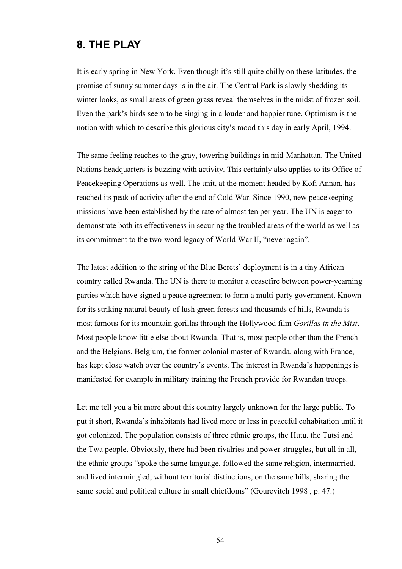# **8. THE PLAY**

It is early spring in New York. Even though it's still quite chilly on these latitudes, the promise of sunny summer days is in the air. The Central Park is slowly shedding its winter looks, as small areas of green grass reveal themselves in the midst of frozen soil. Even the park's birds seem to be singing in a louder and happier tune. Optimism is the notion with which to describe this glorious city's mood this day in early April, 1994.

The same feeling reaches to the gray, towering buildings in mid-Manhattan. The United Nations headquarters is buzzing with activity. This certainly also applies to its Office of Peacekeeping Operations as well. The unit, at the moment headed by Kofi Annan, has reached its peak of activity after the end of Cold War. Since 1990, new peacekeeping missions have been established by the rate of almost ten per year. The UN is eager to demonstrate both its effectiveness in securing the troubled areas of the world as well as its commitment to the two-word legacy of World War II, "never again".

The latest addition to the string of the Blue Berets' deployment is in a tiny African country called Rwanda. The UN is there to monitor a ceasefire between power-yearning parties which have signed a peace agreement to form a multi-party government. Known for its striking natural beauty of lush green forests and thousands of hills, Rwanda is most famous for its mountain gorillas through the Hollywood film *Gorillas in the Mist*. Most people know little else about Rwanda. That is, most people other than the French and the Belgians. Belgium, the former colonial master of Rwanda, along with France, has kept close watch over the country's events. The interest in Rwanda's happenings is manifested for example in military training the French provide for Rwandan troops.

Let me tell you a bit more about this country largely unknown for the large public. To put it short, Rwanda's inhabitants had lived more or less in peaceful cohabitation until it got colonized. The population consists of three ethnic groups, the Hutu, the Tutsi and the Twa people. Obviously, there had been rivalries and power struggles, but all in all, the ethnic groups "spoke the same language, followed the same religion, intermarried, and lived intermingled, without territorial distinctions, on the same hills, sharing the same social and political culture in small chiefdoms" (Gourevitch 1998, p. 47.)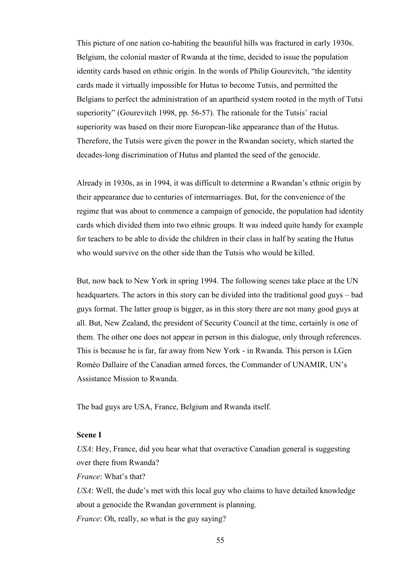This picture of one nation co-habiting the beautiful hills was fractured in early 1930s. Belgium, the colonial master of Rwanda at the time, decided to issue the population identity cards based on ethnic origin. In the words of Philip Gourevitch, "the identity cards made it virtually impossible for Hutus to become Tutsis, and permitted the Belgians to perfect the administration of an apartheid system rooted in the myth of Tutsi superiority" (Gourevitch 1998, pp. 56-57). The rationale for the Tutsis' racial superiority was based on their more European-like appearance than of the Hutus. Therefore, the Tutsis were given the power in the Rwandan society, which started the decades-long discrimination of Hutus and planted the seed of the genocide.

Already in 1930s, as in 1994, it was difficult to determine a Rwandan's ethnic origin by their appearance due to centuries of intermarriages. But, for the convenience of the regime that was about to commence a campaign of genocide, the population had identity cards which divided them into two ethnic groups. It was indeed quite handy for example for teachers to be able to divide the children in their class in half by seating the Hutus who would survive on the other side than the Tutsis who would be killed.

But, now back to New York in spring 1994. The following scenes take place at the UN headquarters. The actors in this story can be divided into the traditional good guys – bad guys format. The latter group is bigger, as in this story there are not many good guys at all. But, New Zealand, the president of Security Council at the time, certainly is one of them. The other one does not appear in person in this dialogue, only through references. This is because he is far, far away from New York - in Rwanda. This person is LGen Roméo Dallaire of the Canadian armed forces, the Commander of UNAMIR, UN's Assistance Mission to Rwanda.

The bad guys are USA, France, Belgium and Rwanda itself.

#### **Scene I**

*USA*: Hey, France, did you hear what that overactive Canadian general is suggesting over there from Rwanda?

*France*: What's that?

*USA*: Well, the dude's met with this local guy who claims to have detailed knowledge about a genocide the Rwandan government is planning.

*France*: Oh, really, so what is the guy saying?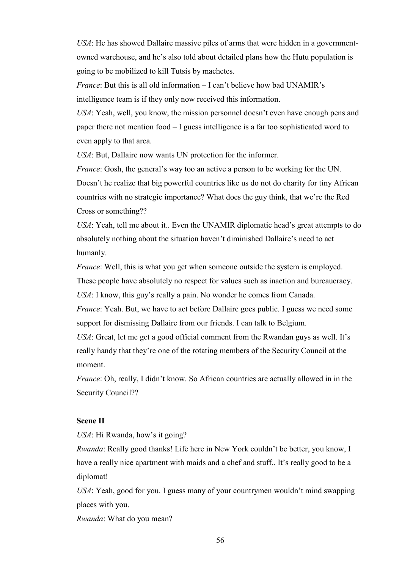*USA*: He has showed Dallaire massive piles of arms that were hidden in a governmentowned warehouse, and he's also told about detailed plans how the Hutu population is going to be mobilized to kill Tutsis by machetes.

*France*: But this is all old information – I can't believe how bad UNAMIR's intelligence team is if they only now received this information.

*USA*: Yeah, well, you know, the mission personnel doesn't even have enough pens and paper there not mention food – I guess intelligence is a far too sophisticated word to even apply to that area.

*USA*: But, Dallaire now wants UN protection for the informer.

*France*: Gosh, the general's way too an active a person to be working for the UN. Doesn't he realize that big powerful countries like us do not do charity for tiny African countries with no strategic importance? What does the guy think, that we're the Red Cross or something??

*USA*: Yeah, tell me about it.. Even the UNAMIR diplomatic head's great attempts to do absolutely nothing about the situation haven't diminished Dallaire's need to act humanly.

*France*: Well, this is what you get when someone outside the system is employed.

These people have absolutely no respect for values such as inaction and bureaucracy.

*USA*: I know, this guy's really a pain. No wonder he comes from Canada.

*France*: Yeah. But, we have to act before Dallaire goes public. I guess we need some support for dismissing Dallaire from our friends. I can talk to Belgium.

*USA*: Great, let me get a good official comment from the Rwandan guys as well. It's really handy that they're one of the rotating members of the Security Council at the moment.

*France*: Oh, really, I didn't know. So African countries are actually allowed in in the Security Council??

#### **Scene II**

*USA*: Hi Rwanda, how's it going?

*Rwanda*: Really good thanks! Life here in New York couldn't be better, you know, I have a really nice apartment with maids and a chef and stuff.. It's really good to be a diplomat!

*USA*: Yeah, good for you. I guess many of your countrymen wouldn't mind swapping places with you.

*Rwanda*: What do you mean?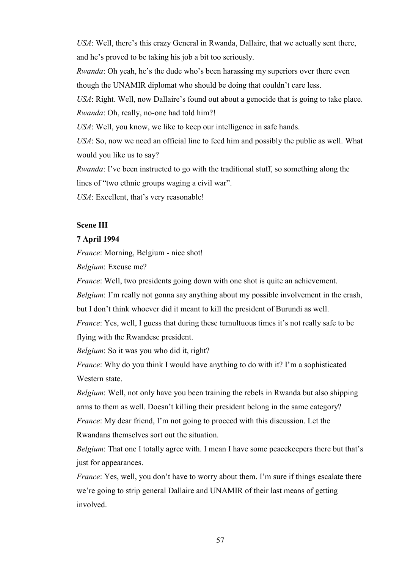*USA*: Well, there's this crazy General in Rwanda, Dallaire, that we actually sent there, and he's proved to be taking his job a bit too seriously.

*Rwanda*: Oh yeah, he's the dude who's been harassing my superiors over there even though the UNAMIR diplomat who should be doing that couldn't care less.

*USA*: Right. Well, now Dallaire's found out about a genocide that is going to take place. *Rwanda*: Oh, really, no-one had told him?!

*USA*: Well, you know, we like to keep our intelligence in safe hands.

*USA*: So, now we need an official line to feed him and possibly the public as well. What would you like us to say?

*Rwanda*: I've been instructed to go with the traditional stuff, so something along the lines of "two ethnic groups waging a civil war".

*USA*: Excellent, that's very reasonable!

### **Scene III**

### **7 April 1994**

*France*: Morning, Belgium - nice shot!

*Belgium*: Excuse me?

*France*: Well, two presidents going down with one shot is quite an achievement.

*Belgium*: I'm really not gonna say anything about my possible involvement in the crash,

but I don't think whoever did it meant to kill the president of Burundi as well.

*France*: Yes, well, I guess that during these tumultuous times it's not really safe to be flying with the Rwandese president.

*Belgium*: So it was you who did it, right?

*France*: Why do you think I would have anything to do with it? I'm a sophisticated Western state.

*Belgium*: Well, not only have you been training the rebels in Rwanda but also shipping arms to them as well. Doesn't killing their president belong in the same category? *France*: My dear friend, I'm not going to proceed with this discussion. Let the Rwandans themselves sort out the situation.

*Belgium*: That one I totally agree with. I mean I have some peacekeepers there but that's just for appearances.

*France*: Yes, well, you don't have to worry about them. I'm sure if things escalate there we're going to strip general Dallaire and UNAMIR of their last means of getting involved.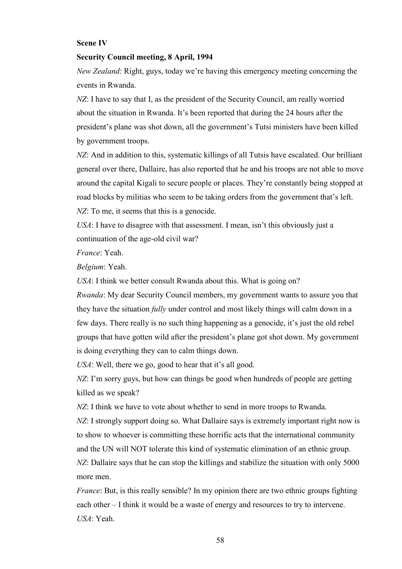#### **Scene IV**

#### **Security Council meeting, 8 April, 1994**

*New Zealand*: Right, guys, today we're having this emergency meeting concerning the events in Rwanda.

*NZ*: I have to say that I, as the president of the Security Council, am really worried about the situation in Rwanda. It's been reported that during the 24 hours after the president's plane was shot down, all the government's Tutsi ministers have been killed by government troops.

*NZ*: And in addition to this, systematic killings of all Tutsis have escalated. Our brilliant general over there, Dallaire, has also reported that he and his troops are not able to move around the capital Kigali to secure people or places. They're constantly being stopped at road blocks by militias who seem to be taking orders from the government that's left.

*NZ*: To me, it seems that this is a genocide.

*USA*: I have to disagree with that assessment. I mean, isn't this obviously just a continuation of the age-old civil war?

*France*: Yeah.

*Belgium*: Yeah.

*USA*: I think we better consult Rwanda about this. What is going on?

*Rwanda*: My dear Security Council members, my government wants to assure you that they have the situation *fully* under control and most likely things will calm down in a few days. There really is no such thing happening as a genocide, it's just the old rebel groups that have gotten wild after the president's plane got shot down. My government is doing everything they can to calm things down.

*USA*: Well, there we go, good to hear that it's all good.

*NZ*: I'm sorry guys, but how can things be good when hundreds of people are getting killed as we speak?

*NZ*: I think we have to vote about whether to send in more troops to Rwanda.

*NZ*: I strongly support doing so. What Dallaire says is extremely important right now is to show to whoever is committing these horrific acts that the international community and the UN will NOT tolerate this kind of systematic elimination of an ethnic group.

*NZ*: Dallaire says that he can stop the killings and stabilize the situation with only 5000 more men.

*France*: But, is this really sensible? In my opinion there are two ethnic groups fighting each other – I think it would be a waste of energy and resources to try to intervene. *USA*: Yeah.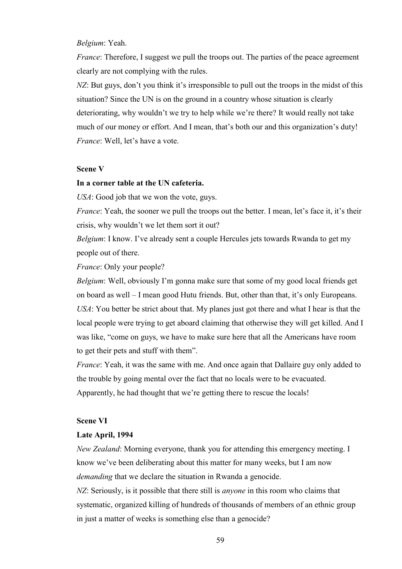#### *Belgium*: Yeah.

*France*: Therefore, I suggest we pull the troops out. The parties of the peace agreement clearly are not complying with the rules.

*NZ*: But guys, don't you think it's irresponsible to pull out the troops in the midst of this situation? Since the UN is on the ground in a country whose situation is clearly deteriorating, why wouldn't we try to help while we're there? It would really not take much of our money or effort. And I mean, that's both our and this organization's duty! *France*: Well, let's have a vote.

### **Scene V**

#### **In a corner table at the UN cafeteria.**

*USA*: Good job that we won the vote, guys.

*France*: Yeah, the sooner we pull the troops out the better. I mean, let's face it, it's their crisis, why wouldn't we let them sort it out?

*Belgium*: I know. I've already sent a couple Hercules jets towards Rwanda to get my people out of there.

*France*: Only your people?

*Belgium*: Well, obviously I'm gonna make sure that some of my good local friends get on board as well – I mean good Hutu friends. But, other than that, it's only Europeans. *USA*: You better be strict about that. My planes just got there and what I hear is that the local people were trying to get aboard claiming that otherwise they will get killed. And I was like, "come on guys, we have to make sure here that all the Americans have room to get their pets and stuff with them".

*France*: Yeah, it was the same with me. And once again that Dallaire guy only added to the trouble by going mental over the fact that no locals were to be evacuated. Apparently, he had thought that we're getting there to rescue the locals!

#### **Scene VI**

#### **Late April, 1994**

*New Zealand*: Morning everyone, thank you for attending this emergency meeting. I know we've been deliberating about this matter for many weeks, but I am now *demanding* that we declare the situation in Rwanda a genocide.

*NZ*: Seriously, is it possible that there still is *anyone* in this room who claims that systematic, organized killing of hundreds of thousands of members of an ethnic group in just a matter of weeks is something else than a genocide?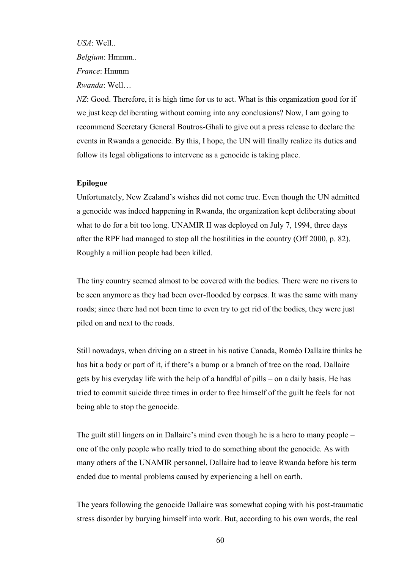*USA*: Well.. *Belgium*: Hmmm.. *France*: Hmmm *Rwanda*: Well…

*NZ*: Good. Therefore, it is high time for us to act. What is this organization good for if we just keep deliberating without coming into any conclusions? Now, I am going to recommend Secretary General Boutros-Ghali to give out a press release to declare the events in Rwanda a genocide. By this, I hope, the UN will finally realize its duties and follow its legal obligations to intervene as a genocide is taking place.

#### **Epilogue**

Unfortunately, New Zealand's wishes did not come true. Even though the UN admitted a genocide was indeed happening in Rwanda, the organization kept deliberating about what to do for a bit too long. UNAMIR II was deployed on July 7, 1994, three days after the RPF had managed to stop all the hostilities in the country (Off 2000, p. 82). Roughly a million people had been killed.

The tiny country seemed almost to be covered with the bodies. There were no rivers to be seen anymore as they had been over-flooded by corpses. It was the same with many roads; since there had not been time to even try to get rid of the bodies, they were just piled on and next to the roads.

Still nowadays, when driving on a street in his native Canada, Roméo Dallaire thinks he has hit a body or part of it, if there's a bump or a branch of tree on the road. Dallaire gets by his everyday life with the help of a handful of pills – on a daily basis. He has tried to commit suicide three times in order to free himself of the guilt he feels for not being able to stop the genocide.

The guilt still lingers on in Dallaire's mind even though he is a hero to many people – one of the only people who really tried to do something about the genocide. As with many others of the UNAMIR personnel, Dallaire had to leave Rwanda before his term ended due to mental problems caused by experiencing a hell on earth.

The years following the genocide Dallaire was somewhat coping with his post-traumatic stress disorder by burying himself into work. But, according to his own words, the real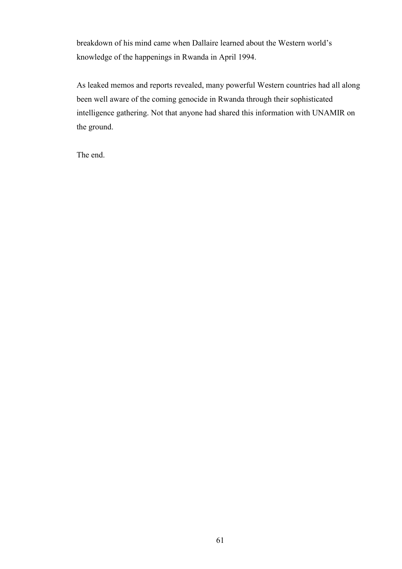breakdown of his mind came when Dallaire learned about the Western world's knowledge of the happenings in Rwanda in April 1994.

As leaked memos and reports revealed, many powerful Western countries had all along been well aware of the coming genocide in Rwanda through their sophisticated intelligence gathering. Not that anyone had shared this information with UNAMIR on the ground.

The end.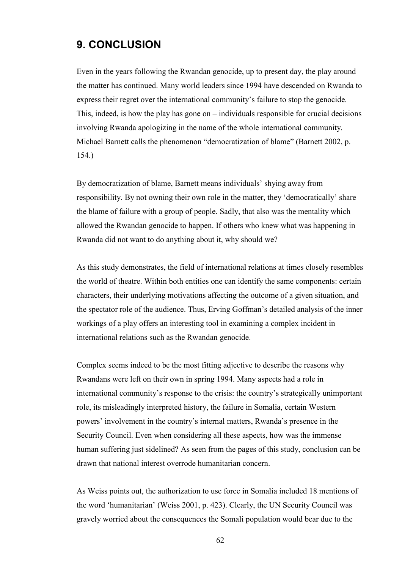# **9. CONCLUSION**

Even in the years following the Rwandan genocide, up to present day, the play around the matter has continued. Many world leaders since 1994 have descended on Rwanda to express their regret over the international community's failure to stop the genocide. This, indeed, is how the play has gone on – individuals responsible for crucial decisions involving Rwanda apologizing in the name of the whole international community. Michael Barnett calls the phenomenon "democratization of blame" (Barnett 2002, p. 154.)

By democratization of blame, Barnett means individuals' shying away from responsibility. By not owning their own role in the matter, they 'democratically' share the blame of failure with a group of people. Sadly, that also was the mentality which allowed the Rwandan genocide to happen. If others who knew what was happening in Rwanda did not want to do anything about it, why should we?

As this study demonstrates, the field of international relations at times closely resembles the world of theatre. Within both entities one can identify the same components: certain characters, their underlying motivations affecting the outcome of a given situation, and the spectator role of the audience. Thus, Erving Goffman's detailed analysis of the inner workings of a play offers an interesting tool in examining a complex incident in international relations such as the Rwandan genocide.

Complex seems indeed to be the most fitting adjective to describe the reasons why Rwandans were left on their own in spring 1994. Many aspects had a role in international community's response to the crisis: the country's strategically unimportant role, its misleadingly interpreted history, the failure in Somalia, certain Western powers' involvement in the country's internal matters, Rwanda's presence in the Security Council. Even when considering all these aspects, how was the immense human suffering just sidelined? As seen from the pages of this study, conclusion can be drawn that national interest overrode humanitarian concern.

As Weiss points out, the authorization to use force in Somalia included 18 mentions of the word 'humanitarian' (Weiss 2001, p. 423). Clearly, the UN Security Council was gravely worried about the consequences the Somali population would bear due to the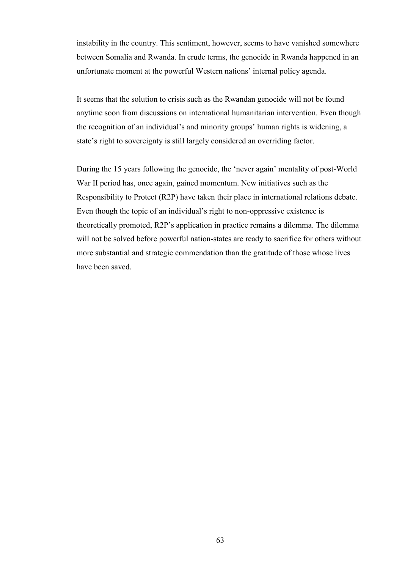instability in the country. This sentiment, however, seems to have vanished somewhere between Somalia and Rwanda. In crude terms, the genocide in Rwanda happened in an unfortunate moment at the powerful Western nations' internal policy agenda.

It seems that the solution to crisis such as the Rwandan genocide will not be found anytime soon from discussions on international humanitarian intervention. Even though the recognition of an individual's and minority groups' human rights is widening, a state's right to sovereignty is still largely considered an overriding factor.

During the 15 years following the genocide, the 'never again' mentality of post-World War II period has, once again, gained momentum. New initiatives such as the Responsibility to Protect (R2P) have taken their place in international relations debate. Even though the topic of an individual's right to non-oppressive existence is theoretically promoted, R2P's application in practice remains a dilemma. The dilemma will not be solved before powerful nation-states are ready to sacrifice for others without more substantial and strategic commendation than the gratitude of those whose lives have been saved.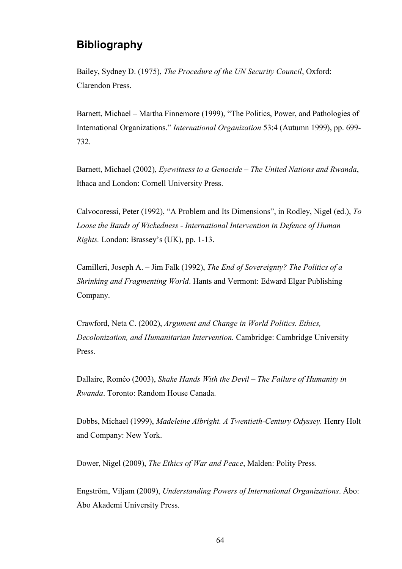# **Bibliography**

Bailey, Sydney D. (1975), *The Procedure of the UN Security Council*, Oxford: Clarendon Press.

Barnett, Michael – Martha Finnemore (1999), "The Politics, Power, and Pathologies of International Organizations." *International Organization* 53:4 (Autumn 1999), pp. 699- 732.

Barnett, Michael (2002), *Eyewitness to a Genocide – The United Nations and Rwanda*, Ithaca and London: Cornell University Press.

Calvocoressi, Peter (1992), "A Problem and Its Dimensions", in Rodley, Nigel (ed.), *To Loose the Bands of Wickedness* - *International Intervention in Defence of Human Rights.* London: Brassey's (UK), pp. 1-13.

Camilleri, Joseph A. – Jim Falk (1992), *The End of Sovereignty? The Politics of a Shrinking and Fragmenting World*. Hants and Vermont: Edward Elgar Publishing Company.

Crawford, Neta C. (2002), *Argument and Change in World Politics. Ethics, Decolonization, and Humanitarian Intervention.* Cambridge: Cambridge University Press.

Dallaire, Roméo (2003), *Shake Hands With the Devil – The Failure of Humanity in Rwanda*. Toronto: Random House Canada.

Dobbs, Michael (1999), *Madeleine Albright. A Twentieth-Century Odyssey.* Henry Holt and Company: New York.

Dower, Nigel (2009), *The Ethics of War and Peace*, Malden: Polity Press.

Engström, Viljam (2009), *Understanding Powers of International Organizations*. Åbo: Åbo Akademi University Press.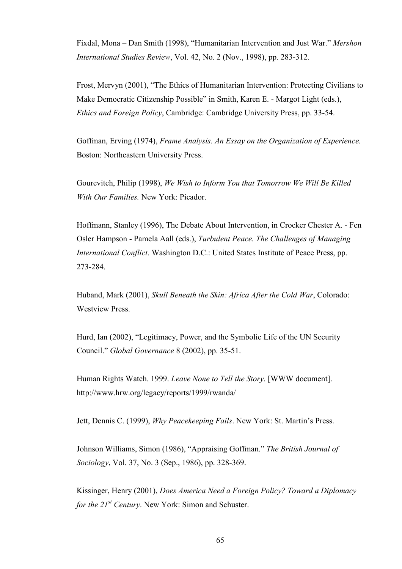Fixdal, Mona – Dan Smith (1998), "Humanitarian Intervention and Just War." *Mershon International Studies Review*, Vol. 42, No. 2 (Nov., 1998), pp. 283-312.

Frost, Mervyn (2001), "The Ethics of Humanitarian Intervention: Protecting Civilians to Make Democratic Citizenship Possible" in Smith, Karen E. - Margot Light (eds.), *Ethics and Foreign Policy*, Cambridge: Cambridge University Press, pp. 33-54.

Goffman, Erving (1974), *Frame Analysis. An Essay on the Organization of Experience.* Boston: Northeastern University Press.

Gourevitch, Philip (1998), *We Wish to Inform You that Tomorrow We Will Be Killed With Our Families.* New York: Picador.

Hoffmann, Stanley (1996), The Debate About Intervention, in Crocker Chester A. - Fen Osler Hampson - Pamela Aall (eds.), *Turbulent Peace. The Challenges of Managing International Conflict*. Washington D.C.: United States Institute of Peace Press, pp. 273-284.

Huband, Mark (2001), *Skull Beneath the Skin: Africa After the Cold War*, Colorado: Westview Press.

Hurd, Ian (2002), "Legitimacy, Power, and the Symbolic Life of the UN Security Council." *Global Governance* 8 (2002), pp. 35-51.

Human Rights Watch. 1999. *Leave None to Tell the Story*. [WWW document]. http://www.hrw.org/legacy/reports/1999/rwanda/

Jett, Dennis C. (1999), *Why Peacekeeping Fails*. New York: St. Martin's Press.

Johnson Williams, Simon (1986), "Appraising Goffman." *The British Journal of Sociology*, Vol. 37, No. 3 (Sep., 1986), pp. 328-369.

Kissinger, Henry (2001), *Does America Need a Foreign Policy? Toward a Diplomacy for the 21st Century*. New York: Simon and Schuster.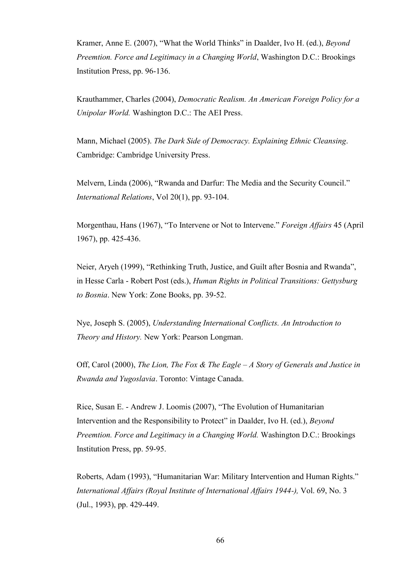Kramer, Anne E. (2007), "What the World Thinks" in Daalder, Ivo H. (ed.), *Beyond Preemtion. Force and Legitimacy in a Changing World*, Washington D.C.: Brookings Institution Press, pp. 96-136.

Krauthammer, Charles (2004), *Democratic Realism. An American Foreign Policy for a Unipolar World.* Washington D.C.: The AEI Press.

Mann, Michael (2005). *The Dark Side of Democracy. Explaining Ethnic Cleansing*. Cambridge: Cambridge University Press.

Melvern, Linda (2006), "Rwanda and Darfur: The Media and the Security Council." *International Relations*, Vol 20(1), pp. 93-104.

Morgenthau, Hans (1967), "To Intervene or Not to Intervene." *Foreign Affairs* 45 (April 1967), pp. 425-436.

Neier, Aryeh (1999), "Rethinking Truth, Justice, and Guilt after Bosnia and Rwanda", in Hesse Carla - Robert Post (eds.), *Human Rights in Political Transitions: Gettysburg to Bosnia*. New York: Zone Books, pp. 39-52.

Nye, Joseph S. (2005), *Understanding International Conflicts. An Introduction to Theory and History.* New York: Pearson Longman.

Off, Carol (2000), *The Lion, The Fox & The Eagle – A Story of Generals and Justice in Rwanda and Yugoslavia*. Toronto: Vintage Canada.

Rice, Susan E. - Andrew J. Loomis (2007), "The Evolution of Humanitarian Intervention and the Responsibility to Protect" in Daalder, Ivo H. (ed.), *Beyond Preemtion. Force and Legitimacy in a Changing World.* Washington D.C.: Brookings Institution Press, pp. 59-95.

Roberts, Adam (1993), "Humanitarian War: Military Intervention and Human Rights." *International Affairs (Royal Institute of International Affairs 1944-),* Vol. 69, No. 3 (Jul., 1993), pp. 429-449.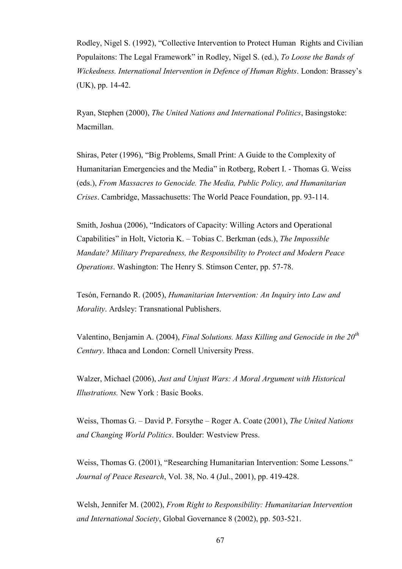Rodley, Nigel S. (1992), "Collective Intervention to Protect Human Rights and Civilian Populaitons: The Legal Framework" in Rodley, Nigel S. (ed.), *To Loose the Bands of Wickedness. International Intervention in Defence of Human Rights*. London: Brassey's (UK), pp. 14-42.

Ryan, Stephen (2000), *The United Nations and International Politics*, Basingstoke: Macmillan.

Shiras, Peter (1996), "Big Problems, Small Print: A Guide to the Complexity of Humanitarian Emergencies and the Media" in Rotberg, Robert I. - Thomas G. Weiss (eds.), *From Massacres to Genocide. The Media, Public Policy, and Humanitarian Crises*. Cambridge, Massachusetts: The World Peace Foundation, pp. 93-114.

Smith, Joshua (2006), "Indicators of Capacity: Willing Actors and Operational Capabilities" in Holt, Victoria K. – Tobias C. Berkman (eds.), *The Impossible Mandate? Military Preparedness, the Responsibility to Protect and Modern Peace Operations*. Washington: The Henry S. Stimson Center, pp. 57-78.

Tesón, Fernando R. (2005), *Humanitarian Intervention: An Inquiry into Law and Morality*. Ardsley: Transnational Publishers.

Valentino, Benjamin A. (2004), *Final Solutions. Mass Killing and Genocide in the 20th Century*. Ithaca and London: Cornell University Press.

Walzer, Michael (2006), *Just and Unjust Wars: A Moral Argument with Historical Illustrations.* New York : Basic Books.

Weiss, Thomas G. – David P. Forsythe – Roger A. Coate (2001), *The United Nations and Changing World Politics*. Boulder: Westview Press.

Weiss, Thomas G. (2001), "Researching Humanitarian Intervention: Some Lessons." *Journal of Peace Research*, Vol. 38, No. 4 (Jul., 2001), pp. 419-428.

Welsh, Jennifer M. (2002), *From Right to Responsibility: Humanitarian Intervention and International Society*, Global Governance 8 (2002), pp. 503-521.